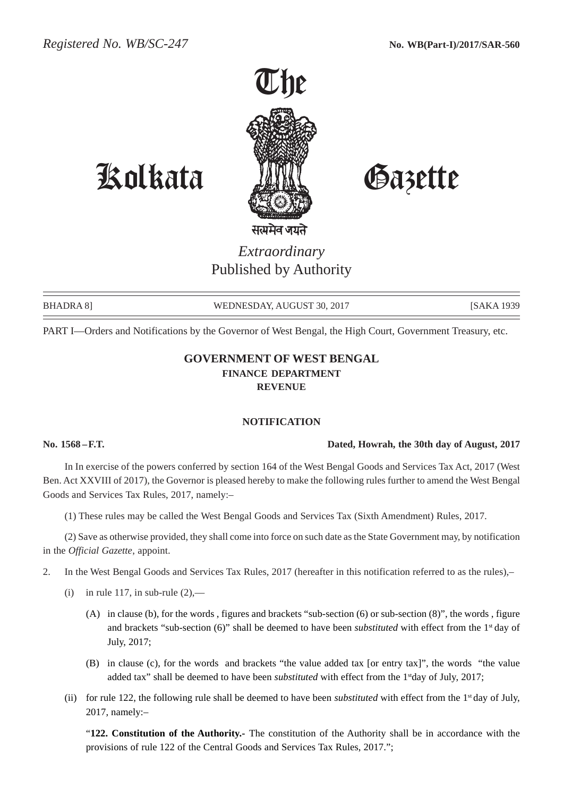

# Kolkata Gazette

*Extraordinary* Published by Authority

BHADRA 8] WEDNESDAY, AUGUST 30, 2017 [SAKA 1939]

PART I—Orders and Notifications by the Governor of West Bengal, the High Court, Government Treasury, etc.

# **GOVERNMENT OF WEST BENGAL FINANCE DEPARTMENT REVENUE**

#### **NOTIFICATION**

#### **No. 1568 –F.T. Dated, Howrah, the 30th day of August, 2017**

In In exercise of the powers conferred by section 164 of the West Bengal Goods and Services Tax Act, 2017 (West Ben. Act XXVIII of 2017), the Governor is pleased hereby to make the following rules further to amend the West Bengal Goods and Services Tax Rules, 2017, namely:–

(1) These rules may be called the West Bengal Goods and Services Tax (Sixth Amendment) Rules, 2017.

(2) Save as otherwise provided, they shall come into force on such date as the State Government may, by notification in the *Official Gazette*, appoint.

- 2. In the West Bengal Goods and Services Tax Rules, 2017 (hereafter in this notification referred to as the rules),–
	- (i) in rule 117, in sub-rule  $(2)$ ,—
		- (A) in clause (b), for the words , figures and brackets "sub-section (6) or sub-section (8)", the words , figure and brackets "sub-section (6)" shall be deemed to have been *substituted* with effect from the 1st day of July, 2017;
		- (B) in clause (c), for the words and brackets "the value added tax [or entry tax]", the words "the value added tax" shall be deemed to have been *substituted* with effect from the 1stday of July, 2017;
	- (ii) for rule 122, the following rule shall be deemed to have been *substituted* with effect from the 1st day of July, 2017, namely:–

"**122. Constitution of the Authority.-** The constitution of the Authority shall be in accordance with the provisions of rule 122 of the Central Goods and Services Tax Rules, 2017.";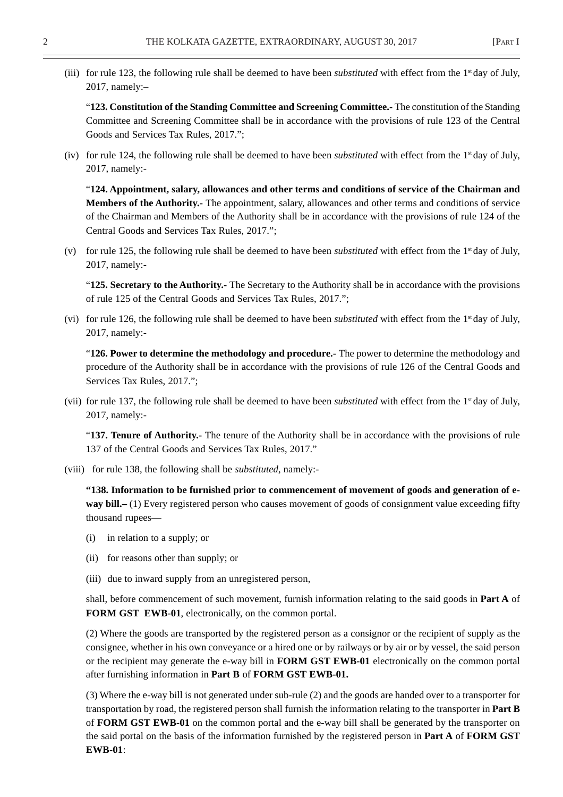(iii) for rule 123, the following rule shall be deemed to have been *substituted* with effect from the 1st day of July, 2017, namely:–

"**123. Constitution of the Standing Committee and Screening Committee.-** The constitution of the Standing Committee and Screening Committee shall be in accordance with the provisions of rule 123 of the Central Goods and Services Tax Rules, 2017.";

(iv) for rule 124, the following rule shall be deemed to have been *substituted* with effect from the 1st day of July, 2017, namely:-

"**124. Appointment, salary, allowances and other terms and conditions of service of the Chairman and Members of the Authority.-** The appointment, salary, allowances and other terms and conditions of service of the Chairman and Members of the Authority shall be in accordance with the provisions of rule 124 of the Central Goods and Services Tax Rules, 2017.";

(v) for rule 125, the following rule shall be deemed to have been *substituted* with effect from the 1st day of July, 2017, namely:-

"**125. Secretary to the Authority.-** The Secretary to the Authority shall be in accordance with the provisions of rule 125 of the Central Goods and Services Tax Rules, 2017.";

(vi) for rule 126, the following rule shall be deemed to have been *substituted* with effect from the 1st day of July, 2017, namely:-

"**126. Power to determine the methodology and procedure.-** The power to determine the methodology and procedure of the Authority shall be in accordance with the provisions of rule 126 of the Central Goods and Services Tax Rules, 2017.";

(vii) for rule 137, the following rule shall be deemed to have been *substituted* with effect from the 1<sup>st</sup> day of July, 2017, namely:-

"**137. Tenure of Authority.-** The tenure of the Authority shall be in accordance with the provisions of rule 137 of the Central Goods and Services Tax Rules, 2017."

(viii) for rule 138, the following shall be *substituted*, namely:-

**"138. Information to be furnished prior to commencement of movement of goods and generation of eway bill.–** (1) Every registered person who causes movement of goods of consignment value exceeding fifty thousand rupees—

- (i) in relation to a supply; or
- (ii) for reasons other than supply; or
- (iii) due to inward supply from an unregistered person,

shall, before commencement of such movement, furnish information relating to the said goods in **Part A** of **FORM GST EWB-01**, electronically, on the common portal.

(2) Where the goods are transported by the registered person as a consignor or the recipient of supply as the consignee, whether in his own conveyance or a hired one or by railways or by air or by vessel, the said person or the recipient may generate the e-way bill in **FORM GST EWB-01** electronically on the common portal after furnishing information in **Part B** of **FORM GST EWB-01.**

(3) Where the e-way bill is not generated under sub-rule (2) and the goods are handed over to a transporter for transportation by road, the registered person shall furnish the information relating to the transporter in **Part B** of **FORM GST EWB-01** on the common portal and the e-way bill shall be generated by the transporter on the said portal on the basis of the information furnished by the registered person in **Part A** of **FORM GST EWB-01**: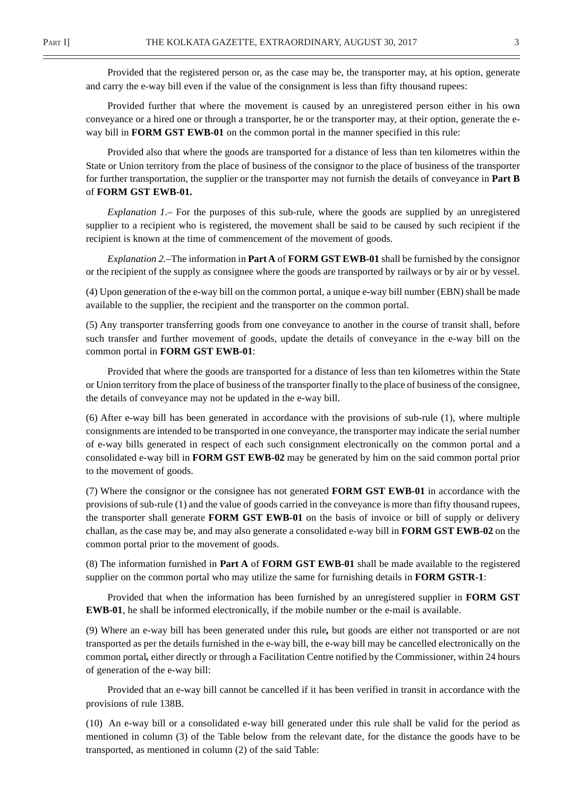Provided that the registered person or, as the case may be, the transporter may, at his option, generate and carry the e-way bill even if the value of the consignment is less than fifty thousand rupees:

Provided further that where the movement is caused by an unregistered person either in his own conveyance or a hired one or through a transporter, he or the transporter may, at their option, generate the eway bill in **FORM GST EWB-01** on the common portal in the manner specified in this rule:

Provided also that where the goods are transported for a distance of less than ten kilometres within the State or Union territory from the place of business of the consignor to the place of business of the transporter for further transportation, the supplier or the transporter may not furnish the details of conveyance in **Part B** of **FORM GST EWB-01.**

*Explanation 1*.– For the purposes of this sub-rule, where the goods are supplied by an unregistered supplier to a recipient who is registered, the movement shall be said to be caused by such recipient if the recipient is known at the time of commencement of the movement of goods.

*Explanation 2.–*The information in **Part A** of **FORM GST EWB-01** shall be furnished by the consignor or the recipient of the supply as consignee where the goods are transported by railways or by air or by vessel.

(4) Upon generation of the e-way bill on the common portal, a unique e-way bill number (EBN) shall be made available to the supplier, the recipient and the transporter on the common portal.

(5) Any transporter transferring goods from one conveyance to another in the course of transit shall, before such transfer and further movement of goods, update the details of conveyance in the e-way bill on the common portal in **FORM GST EWB-01**:

Provided that where the goods are transported for a distance of less than ten kilometres within the State or Union territory from the place of business of the transporter finally to the place of business of the consignee, the details of conveyance may not be updated in the e-way bill.

(6) After e-way bill has been generated in accordance with the provisions of sub-rule (1), where multiple consignments are intended to be transported in one conveyance, the transporter may indicate the serial number of e-way bills generated in respect of each such consignment electronically on the common portal and a consolidated e-way bill in **FORM GST EWB-02** may be generated by him on the said common portal prior to the movement of goods.

(7) Where the consignor or the consignee has not generated **FORM GST EWB-01** in accordance with the provisions of sub-rule (1) and the value of goods carried in the conveyance is more than fifty thousand rupees, the transporter shall generate **FORM GST EWB-01** on the basis of invoice or bill of supply or delivery challan, as the case may be, and may also generate a consolidated e-way bill in **FORM GST EWB-02** on the common portal prior to the movement of goods.

(8) The information furnished in **Part A** of **FORM GST EWB-01** shall be made available to the registered supplier on the common portal who may utilize the same for furnishing details in **FORM GSTR-1**:

Provided that when the information has been furnished by an unregistered supplier in **FORM GST EWB-01**, he shall be informed electronically, if the mobile number or the e-mail is available.

(9) Where an e-way bill has been generated under this rule*,* but goods are either not transported or are not transported as per the details furnished in the e-way bill, the e-way bill may be cancelled electronically on the common portal*,* either directly or through a Facilitation Centre notified by the Commissioner, within 24 hours of generation of the e-way bill:

Provided that an e-way bill cannot be cancelled if it has been verified in transit in accordance with the provisions of rule 138B.

(10) An e-way bill or a consolidated e-way bill generated under this rule shall be valid for the period as mentioned in column (3) of the Table below from the relevant date, for the distance the goods have to be transported, as mentioned in column (2) of the said Table: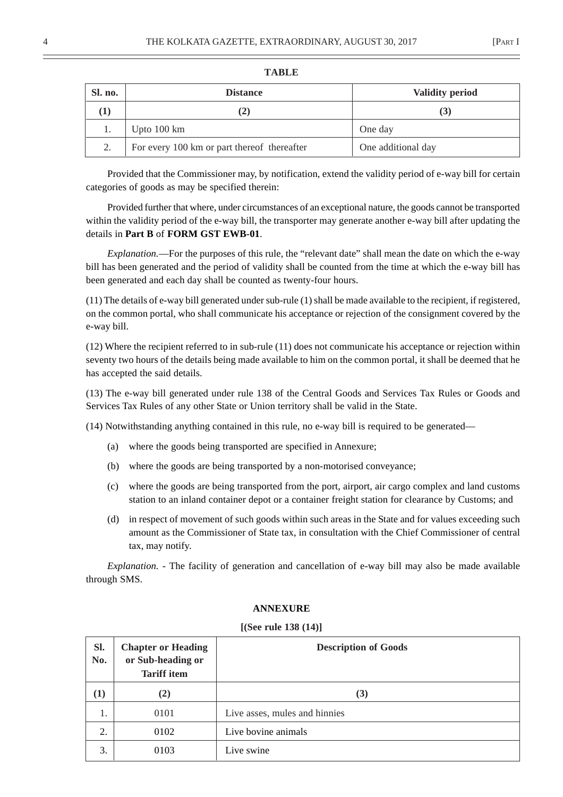| Sl. no. | <b>Distance</b>                             | <b>Validity period</b> |
|---------|---------------------------------------------|------------------------|
|         |                                             | $\mathbf{5}$           |
|         | Upto $100 \text{ km}$                       | One day                |
| 2.      | For every 100 km or part thereof thereafter | One additional day     |

#### **TABLE**

Provided that the Commissioner may, by notification, extend the validity period of e-way bill for certain categories of goods as may be specified therein:

Provided further that where, under circumstances of an exceptional nature, the goods cannot be transported within the validity period of the e-way bill, the transporter may generate another e-way bill after updating the details in **Part B** of **FORM GST EWB-01**.

*Explanation.*—For the purposes of this rule, the "relevant date" shall mean the date on which the e-way bill has been generated and the period of validity shall be counted from the time at which the e-way bill has been generated and each day shall be counted as twenty-four hours.

(11) The details of e-way bill generated under sub-rule (1) shall be made available to the recipient, if registered, on the common portal, who shall communicate his acceptance or rejection of the consignment covered by the e-way bill.

(12) Where the recipient referred to in sub-rule (11) does not communicate his acceptance or rejection within seventy two hours of the details being made available to him on the common portal, it shall be deemed that he has accepted the said details.

(13) The e-way bill generated under rule 138 of the Central Goods and Services Tax Rules or Goods and Services Tax Rules of any other State or Union territory shall be valid in the State.

(14) Notwithstanding anything contained in this rule, no e-way bill is required to be generated—

- (a) where the goods being transported are specified in Annexure;
- (b) where the goods are being transported by a non-motorised conveyance;
- (c) where the goods are being transported from the port, airport, air cargo complex and land customs station to an inland container depot or a container freight station for clearance by Customs; and
- (d) in respect of movement of such goods within such areas in the State and for values exceeding such amount as the Commissioner of State tax, in consultation with the Chief Commissioner of central tax, may notify.

*Explanation.* - The facility of generation and cancellation of e-way bill may also be made available through SMS.

| Sl.<br>No. | <b>Chapter or Heading</b><br>or Sub-heading or<br><b>Tariff</b> item | <b>Description of Goods</b>   |  |
|------------|----------------------------------------------------------------------|-------------------------------|--|
| $\bf(1)$   | (2)                                                                  | (3)                           |  |
| 1.         | 0101                                                                 | Live asses, mules and hinnies |  |
| 2.         | 0102                                                                 | Live bovine animals           |  |
| 3.         | 0103                                                                 | Live swine                    |  |

#### **ANNEXURE**

#### **[(See rule 138 (14)]**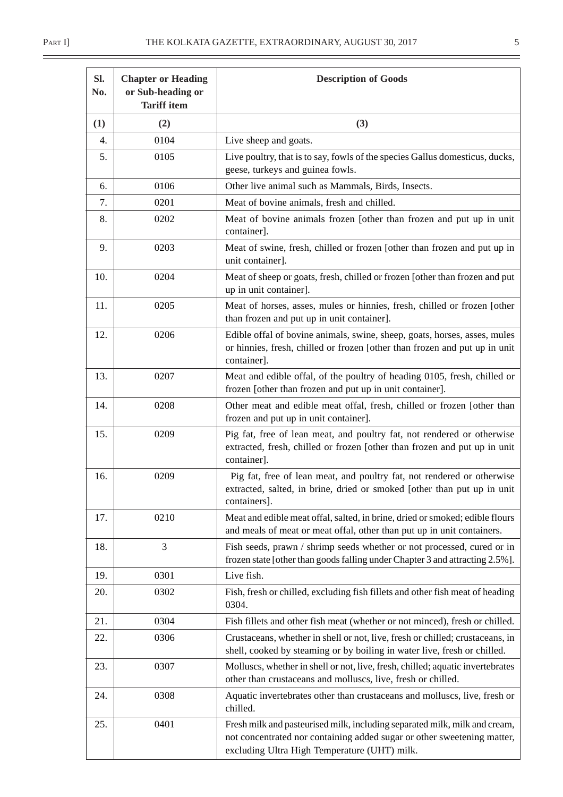| SI.<br>No. | <b>Chapter or Heading</b><br>or Sub-heading or<br><b>Tariff item</b> | <b>Description of Goods</b>                                                                                                                                                                           |  |
|------------|----------------------------------------------------------------------|-------------------------------------------------------------------------------------------------------------------------------------------------------------------------------------------------------|--|
| (1)        | (2)                                                                  | (3)                                                                                                                                                                                                   |  |
| 4.         | 0104                                                                 | Live sheep and goats.                                                                                                                                                                                 |  |
| 5.         | 0105                                                                 | Live poultry, that is to say, fowls of the species Gallus domesticus, ducks,<br>geese, turkeys and guinea fowls.                                                                                      |  |
| 6.         | 0106                                                                 | Other live animal such as Mammals, Birds, Insects.                                                                                                                                                    |  |
| 7.         | 0201                                                                 | Meat of bovine animals, fresh and chilled.                                                                                                                                                            |  |
| 8.         | 0202                                                                 | Meat of bovine animals frozen [other than frozen and put up in unit<br>container].                                                                                                                    |  |
| 9.         | 0203                                                                 | Meat of swine, fresh, chilled or frozen [other than frozen and put up in<br>unit container].                                                                                                          |  |
| 10.        | 0204                                                                 | Meat of sheep or goats, fresh, chilled or frozen [other than frozen and put<br>up in unit container].                                                                                                 |  |
| 11.        | 0205                                                                 | Meat of horses, asses, mules or hinnies, fresh, chilled or frozen [other<br>than frozen and put up in unit container].                                                                                |  |
| 12.        | 0206                                                                 | Edible offal of bovine animals, swine, sheep, goats, horses, asses, mules<br>or hinnies, fresh, chilled or frozen [other than frozen and put up in unit<br>container].                                |  |
| 13.        | 0207                                                                 | Meat and edible offal, of the poultry of heading 0105, fresh, chilled or<br>frozen [other than frozen and put up in unit container].                                                                  |  |
| 14.        | 0208                                                                 | Other meat and edible meat offal, fresh, chilled or frozen [other than<br>frozen and put up in unit container].                                                                                       |  |
| 15.        | 0209                                                                 | Pig fat, free of lean meat, and poultry fat, not rendered or otherwise<br>extracted, fresh, chilled or frozen [other than frozen and put up in unit<br>container].                                    |  |
| 16.        | 0209                                                                 | Pig fat, free of lean meat, and poultry fat, not rendered or otherwise<br>extracted, salted, in brine, dried or smoked [other than put up in unit<br>containers].                                     |  |
| 17.        | 0210                                                                 | Meat and edible meat offal, salted, in brine, dried or smoked; edible flours<br>and meals of meat or meat offal, other than put up in unit containers.                                                |  |
| 18.        | 3                                                                    | Fish seeds, prawn / shrimp seeds whether or not processed, cured or in<br>frozen state [other than goods falling under Chapter 3 and attracting 2.5%].                                                |  |
| 19.        | 0301                                                                 | Live fish.                                                                                                                                                                                            |  |
| 20.        | 0302                                                                 | Fish, fresh or chilled, excluding fish fillets and other fish meat of heading<br>0304.                                                                                                                |  |
| 21.        | 0304                                                                 | Fish fillets and other fish meat (whether or not minced), fresh or chilled.                                                                                                                           |  |
| 22.        | 0306                                                                 | Crustaceans, whether in shell or not, live, fresh or chilled; crustaceans, in<br>shell, cooked by steaming or by boiling in water live, fresh or chilled.                                             |  |
| 23.        | 0307                                                                 | Molluscs, whether in shell or not, live, fresh, chilled; aquatic invertebrates<br>other than crustaceans and molluscs, live, fresh or chilled.                                                        |  |
| 24.        | 0308                                                                 | Aquatic invertebrates other than crustaceans and molluscs, live, fresh or<br>chilled.                                                                                                                 |  |
| 25.        | 0401                                                                 | Fresh milk and pasteurised milk, including separated milk, milk and cream,<br>not concentrated nor containing added sugar or other sweetening matter,<br>excluding Ultra High Temperature (UHT) milk. |  |

 $\equiv$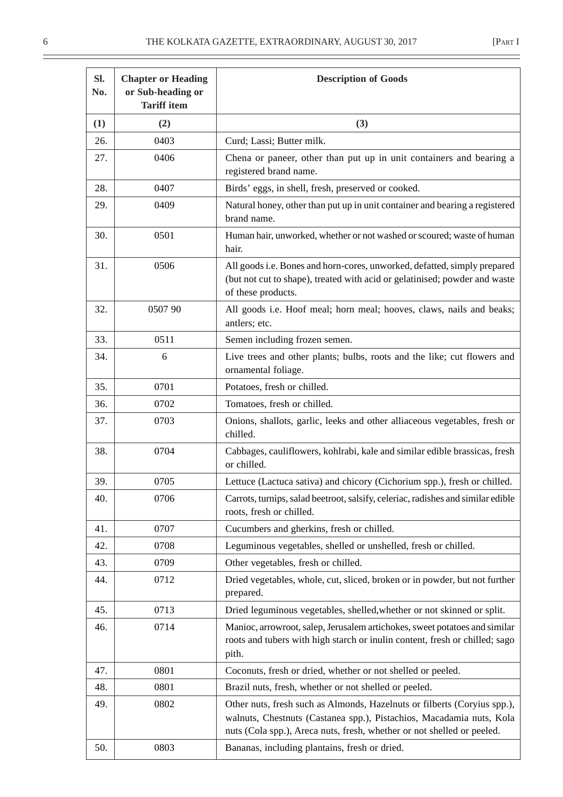| Sl.<br>No. | <b>Chapter or Heading</b><br>or Sub-heading or<br><b>Tariff item</b> | <b>Description of Goods</b>                                                                                                                                                                                                |
|------------|----------------------------------------------------------------------|----------------------------------------------------------------------------------------------------------------------------------------------------------------------------------------------------------------------------|
| (1)        | (2)                                                                  | (3)                                                                                                                                                                                                                        |
| 26.        | 0403                                                                 | Curd; Lassi; Butter milk.                                                                                                                                                                                                  |
| 27.        | 0406                                                                 | Chena or paneer, other than put up in unit containers and bearing a<br>registered brand name.                                                                                                                              |
| 28.        | 0407                                                                 | Birds' eggs, in shell, fresh, preserved or cooked.                                                                                                                                                                         |
| 29.        | 0409                                                                 | Natural honey, other than put up in unit container and bearing a registered<br>brand name.                                                                                                                                 |
| 30.        | 0501                                                                 | Human hair, unworked, whether or not washed or scoured; waste of human<br>hair.                                                                                                                                            |
| 31.        | 0506                                                                 | All goods i.e. Bones and horn-cores, unworked, defatted, simply prepared<br>(but not cut to shape), treated with acid or gelatinised; powder and waste<br>of these products.                                               |
| 32.        | 0507 90                                                              | All goods i.e. Hoof meal; horn meal; hooves, claws, nails and beaks;<br>antlers; etc.                                                                                                                                      |
| 33.        | 0511                                                                 | Semen including frozen semen.                                                                                                                                                                                              |
| 34.        | 6                                                                    | Live trees and other plants; bulbs, roots and the like; cut flowers and<br>ornamental foliage.                                                                                                                             |
| 35.        | 0701                                                                 | Potatoes, fresh or chilled.                                                                                                                                                                                                |
| 36.        | 0702                                                                 | Tomatoes, fresh or chilled.                                                                                                                                                                                                |
| 37.        | 0703                                                                 | Onions, shallots, garlic, leeks and other alliaceous vegetables, fresh or<br>chilled.                                                                                                                                      |
| 38.        | 0704                                                                 | Cabbages, cauliflowers, kohlrabi, kale and similar edible brassicas, fresh<br>or chilled.                                                                                                                                  |
| 39.        | 0705                                                                 | Lettuce (Lactuca sativa) and chicory (Cichorium spp.), fresh or chilled.                                                                                                                                                   |
| 40.        | 0706                                                                 | Carrots, turnips, salad beetroot, salsify, celeriac, radishes and similar edible<br>roots, fresh or chilled.                                                                                                               |
| 41.        | 0707                                                                 | Cucumbers and gherkins, fresh or chilled.                                                                                                                                                                                  |
| 42.        | 0708                                                                 | Leguminous vegetables, shelled or unshelled, fresh or chilled.                                                                                                                                                             |
| 43.        | 0709                                                                 | Other vegetables, fresh or chilled.                                                                                                                                                                                        |
| 44.        | 0712                                                                 | Dried vegetables, whole, cut, sliced, broken or in powder, but not further<br>prepared.                                                                                                                                    |
| 45.        | 0713                                                                 | Dried leguminous vegetables, shelled, whether or not skinned or split.                                                                                                                                                     |
| 46.        | 0714                                                                 | Manioc, arrowroot, salep, Jerusalem artichokes, sweet potatoes and similar<br>roots and tubers with high starch or inulin content, fresh or chilled; sago<br>pith.                                                         |
| 47.        | 0801                                                                 | Coconuts, fresh or dried, whether or not shelled or peeled.                                                                                                                                                                |
| 48.        | 0801                                                                 | Brazil nuts, fresh, whether or not shelled or peeled.                                                                                                                                                                      |
| 49.        | 0802                                                                 | Other nuts, fresh such as Almonds, Hazelnuts or filberts (Coryius spp.),<br>walnuts, Chestnuts (Castanea spp.), Pistachios, Macadamia nuts, Kola<br>nuts (Cola spp.), Areca nuts, fresh, whether or not shelled or peeled. |
| 50.        | 0803                                                                 | Bananas, including plantains, fresh or dried.                                                                                                                                                                              |

 $\overline{\phantom{0}}$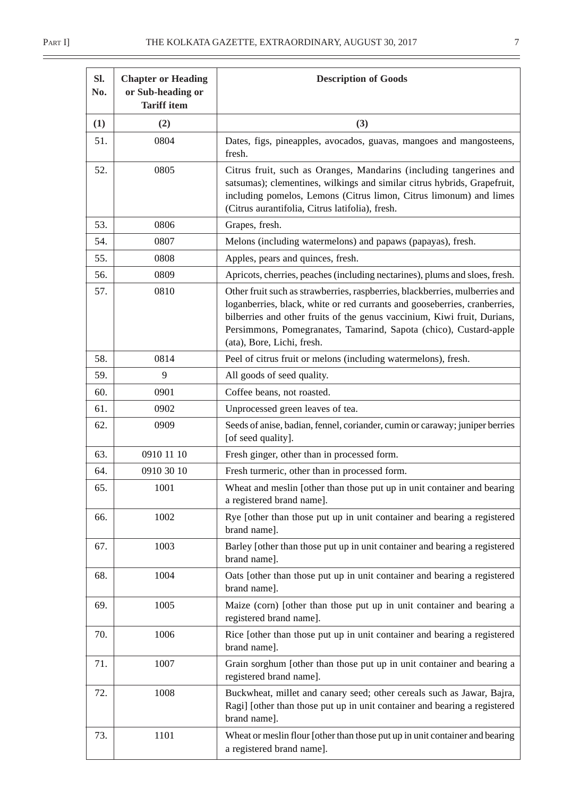| SI.<br>No. | <b>Chapter or Heading</b><br>or Sub-heading or<br><b>Tariff item</b> | <b>Description of Goods</b>                                                                                                                                                                                                                                                                                                             |
|------------|----------------------------------------------------------------------|-----------------------------------------------------------------------------------------------------------------------------------------------------------------------------------------------------------------------------------------------------------------------------------------------------------------------------------------|
| (1)        | (2)                                                                  | (3)                                                                                                                                                                                                                                                                                                                                     |
| 51.        | 0804                                                                 | Dates, figs, pineapples, avocados, guavas, mangoes and mangosteens,<br>fresh.                                                                                                                                                                                                                                                           |
| 52.        | 0805                                                                 | Citrus fruit, such as Oranges, Mandarins (including tangerines and<br>satsumas); clementines, wilkings and similar citrus hybrids, Grapefruit,<br>including pomelos, Lemons (Citrus limon, Citrus limonum) and limes<br>(Citrus aurantifolia, Citrus latifolia), fresh.                                                                 |
| 53.        | 0806                                                                 | Grapes, fresh.                                                                                                                                                                                                                                                                                                                          |
| 54.        | 0807                                                                 | Melons (including watermelons) and papaws (papayas), fresh.                                                                                                                                                                                                                                                                             |
| 55.        | 0808                                                                 | Apples, pears and quinces, fresh.                                                                                                                                                                                                                                                                                                       |
| 56.        | 0809                                                                 | Apricots, cherries, peaches (including nectarines), plums and sloes, fresh.                                                                                                                                                                                                                                                             |
| 57.        | 0810                                                                 | Other fruit such as strawberries, raspberries, blackberries, mulberries and<br>loganberries, black, white or red currants and gooseberries, cranberries,<br>bilberries and other fruits of the genus vaccinium, Kiwi fruit, Durians,<br>Persimmons, Pomegranates, Tamarind, Sapota (chico), Custard-apple<br>(ata), Bore, Lichi, fresh. |
| 58.        | 0814                                                                 | Peel of citrus fruit or melons (including watermelons), fresh.                                                                                                                                                                                                                                                                          |
| 59.        | 9                                                                    | All goods of seed quality.                                                                                                                                                                                                                                                                                                              |
| 60.        | 0901                                                                 | Coffee beans, not roasted.                                                                                                                                                                                                                                                                                                              |
| 61.        | 0902                                                                 | Unprocessed green leaves of tea.                                                                                                                                                                                                                                                                                                        |
| 62.        | 0909                                                                 | Seeds of anise, badian, fennel, coriander, cumin or caraway; juniper berries<br>[of seed quality].                                                                                                                                                                                                                                      |
| 63.        | 0910 11 10                                                           | Fresh ginger, other than in processed form.                                                                                                                                                                                                                                                                                             |
| 64.        | 0910 30 10                                                           | Fresh turmeric, other than in processed form.                                                                                                                                                                                                                                                                                           |
| 65.        | 1001                                                                 | Wheat and meslin [other than those put up in unit container and bearing<br>a registered brand name].                                                                                                                                                                                                                                    |
| 66.        | 1002                                                                 | Rye [other than those put up in unit container and bearing a registered<br>brand name].                                                                                                                                                                                                                                                 |
| 67.        | 1003                                                                 | Barley [other than those put up in unit container and bearing a registered<br>brand name].                                                                                                                                                                                                                                              |
| 68.        | 1004                                                                 | Oats [other than those put up in unit container and bearing a registered<br>brand name].                                                                                                                                                                                                                                                |
| 69.        | 1005                                                                 | Maize (corn) [other than those put up in unit container and bearing a<br>registered brand name].                                                                                                                                                                                                                                        |
| 70.        | 1006                                                                 | Rice [other than those put up in unit container and bearing a registered<br>brand name].                                                                                                                                                                                                                                                |
| 71.        | 1007                                                                 | Grain sorghum [other than those put up in unit container and bearing a<br>registered brand name].                                                                                                                                                                                                                                       |
| 72.        | 1008                                                                 | Buckwheat, millet and canary seed; other cereals such as Jawar, Bajra,<br>Ragi] [other than those put up in unit container and bearing a registered<br>brand name].                                                                                                                                                                     |
| 73.        | 1101                                                                 | Wheat or meslin flour [other than those put up in unit container and bearing<br>a registered brand name].                                                                                                                                                                                                                               |

 $\frac{1}{\sqrt{1-\frac{1}{2}}}$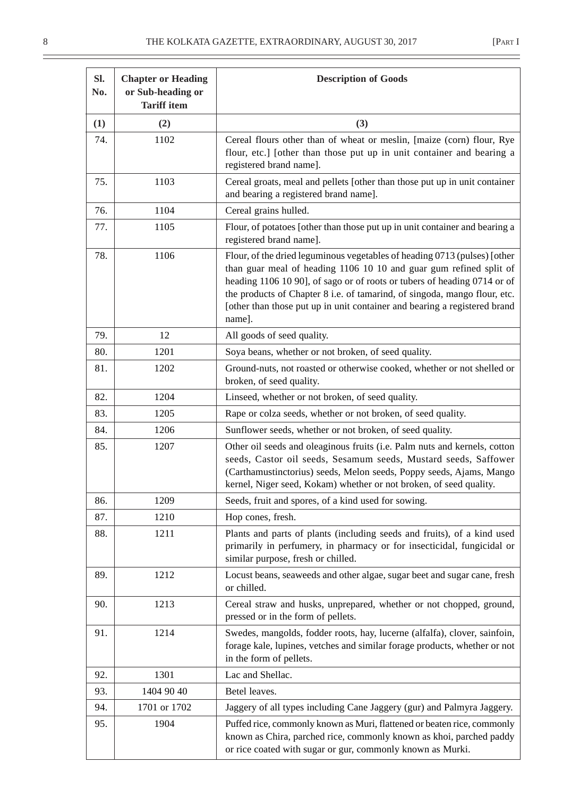| Sl.<br>No. | <b>Chapter or Heading</b><br>or Sub-heading or<br><b>Tariff item</b> | <b>Description of Goods</b>                                                                                                                                                                                                                                                                                                                                                                     |  |
|------------|----------------------------------------------------------------------|-------------------------------------------------------------------------------------------------------------------------------------------------------------------------------------------------------------------------------------------------------------------------------------------------------------------------------------------------------------------------------------------------|--|
| (1)        | (2)                                                                  | (3)                                                                                                                                                                                                                                                                                                                                                                                             |  |
| 74.        | 1102                                                                 | Cereal flours other than of wheat or meslin, [maize (corn) flour, Rye<br>flour, etc.] [other than those put up in unit container and bearing a<br>registered brand name].                                                                                                                                                                                                                       |  |
| 75.        | 1103                                                                 | Cereal groats, meal and pellets [other than those put up in unit container<br>and bearing a registered brand name].                                                                                                                                                                                                                                                                             |  |
| 76.        | 1104                                                                 | Cereal grains hulled.                                                                                                                                                                                                                                                                                                                                                                           |  |
| 77.        | 1105                                                                 | Flour, of potatoes [other than those put up in unit container and bearing a<br>registered brand name].                                                                                                                                                                                                                                                                                          |  |
| 78.        | 1106                                                                 | Flour, of the dried leguminous vegetables of heading 0713 (pulses) [other<br>than guar meal of heading 1106 10 10 and guar gum refined split of<br>heading 1106 10 90], of sago or of roots or tubers of heading 0714 or of<br>the products of Chapter 8 i.e. of tamarind, of singoda, mango flour, etc.<br>[other than those put up in unit container and bearing a registered brand<br>name]. |  |
| 79.        | 12                                                                   | All goods of seed quality.                                                                                                                                                                                                                                                                                                                                                                      |  |
| 80.        | 1201                                                                 | Soya beans, whether or not broken, of seed quality.                                                                                                                                                                                                                                                                                                                                             |  |
| 81.        | 1202                                                                 | Ground-nuts, not roasted or otherwise cooked, whether or not shelled or<br>broken, of seed quality.                                                                                                                                                                                                                                                                                             |  |
| 82.        | 1204                                                                 | Linseed, whether or not broken, of seed quality.                                                                                                                                                                                                                                                                                                                                                |  |
| 83.        | 1205                                                                 | Rape or colza seeds, whether or not broken, of seed quality.                                                                                                                                                                                                                                                                                                                                    |  |
| 84.        | 1206                                                                 | Sunflower seeds, whether or not broken, of seed quality.                                                                                                                                                                                                                                                                                                                                        |  |
| 85.        | 1207                                                                 | Other oil seeds and oleaginous fruits (i.e. Palm nuts and kernels, cotton<br>seeds, Castor oil seeds, Sesamum seeds, Mustard seeds, Saffower<br>(Carthamustinctorius) seeds, Melon seeds, Poppy seeds, Ajams, Mango<br>kernel, Niger seed, Kokam) whether or not broken, of seed quality.                                                                                                       |  |
| 86.        | 1209                                                                 | Seeds, fruit and spores, of a kind used for sowing.                                                                                                                                                                                                                                                                                                                                             |  |
| 87.        | 1210                                                                 | Hop cones, fresh.                                                                                                                                                                                                                                                                                                                                                                               |  |
| 88.        | 1211                                                                 | Plants and parts of plants (including seeds and fruits), of a kind used<br>primarily in perfumery, in pharmacy or for insecticidal, fungicidal or<br>similar purpose, fresh or chilled.                                                                                                                                                                                                         |  |
| 89.        | 1212                                                                 | Locust beans, seaweeds and other algae, sugar beet and sugar cane, fresh<br>or chilled.                                                                                                                                                                                                                                                                                                         |  |
| 90.        | 1213                                                                 | Cereal straw and husks, unprepared, whether or not chopped, ground,<br>pressed or in the form of pellets.                                                                                                                                                                                                                                                                                       |  |
| 91.        | 1214                                                                 | Swedes, mangolds, fodder roots, hay, lucerne (alfalfa), clover, sainfoin,<br>forage kale, lupines, vetches and similar forage products, whether or not<br>in the form of pellets.                                                                                                                                                                                                               |  |
| 92.        | 1301                                                                 | Lac and Shellac.                                                                                                                                                                                                                                                                                                                                                                                |  |
| 93.        | 1404 90 40                                                           | Betel leaves.                                                                                                                                                                                                                                                                                                                                                                                   |  |
| 94.        | 1701 or 1702                                                         | Jaggery of all types including Cane Jaggery (gur) and Palmyra Jaggery.                                                                                                                                                                                                                                                                                                                          |  |
| 95.        | 1904                                                                 | Puffed rice, commonly known as Muri, flattened or beaten rice, commonly<br>known as Chira, parched rice, commonly known as khoi, parched paddy<br>or rice coated with sugar or gur, commonly known as Murki.                                                                                                                                                                                    |  |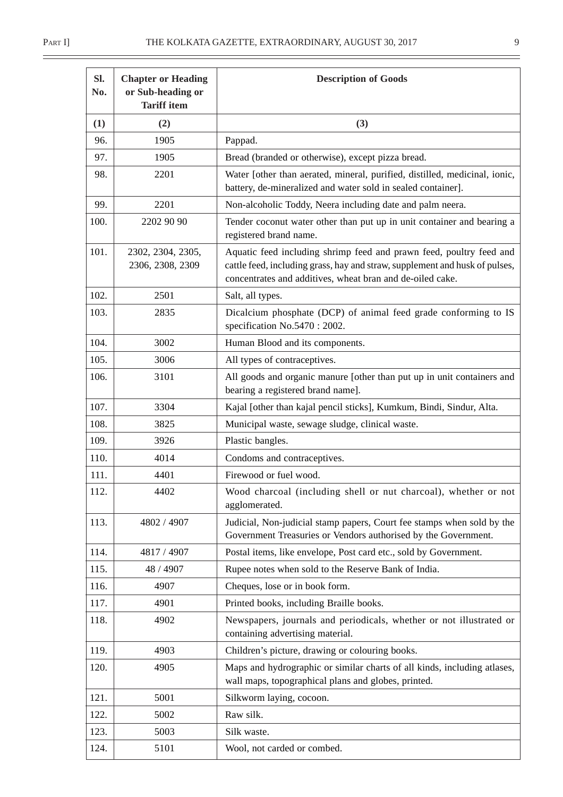$\equiv$ 

| SI.<br>No. | <b>Chapter or Heading</b><br>or Sub-heading or<br><b>Tariff item</b> | <b>Description of Goods</b>                                                                                                                                                                                     |  |
|------------|----------------------------------------------------------------------|-----------------------------------------------------------------------------------------------------------------------------------------------------------------------------------------------------------------|--|
| (1)        | (2)                                                                  | (3)                                                                                                                                                                                                             |  |
| 96.        | 1905                                                                 | Pappad.                                                                                                                                                                                                         |  |
| 97.        | 1905                                                                 | Bread (branded or otherwise), except pizza bread.                                                                                                                                                               |  |
| 98.        | 2201                                                                 | Water [other than aerated, mineral, purified, distilled, medicinal, ionic,<br>battery, de-mineralized and water sold in sealed container].                                                                      |  |
| 99.        | 2201                                                                 | Non-alcoholic Toddy, Neera including date and palm neera.                                                                                                                                                       |  |
| 100.       | 2202 90 90                                                           | Tender coconut water other than put up in unit container and bearing a<br>registered brand name.                                                                                                                |  |
| 101.       | 2302, 2304, 2305,<br>2306, 2308, 2309                                | Aquatic feed including shrimp feed and prawn feed, poultry feed and<br>cattle feed, including grass, hay and straw, supplement and husk of pulses,<br>concentrates and additives, wheat bran and de-oiled cake. |  |
| 102.       | 2501                                                                 | Salt, all types.                                                                                                                                                                                                |  |
| 103.       | 2835                                                                 | Dicalcium phosphate (DCP) of animal feed grade conforming to IS<br>specification No.5470 : 2002.                                                                                                                |  |
| 104.       | 3002                                                                 | Human Blood and its components.                                                                                                                                                                                 |  |
| 105.       | 3006                                                                 | All types of contraceptives.                                                                                                                                                                                    |  |
| 106.       | 3101                                                                 | All goods and organic manure [other than put up in unit containers and<br>bearing a registered brand name].                                                                                                     |  |
| 107.       | 3304                                                                 | Kajal [other than kajal pencil sticks], Kumkum, Bindi, Sindur, Alta.                                                                                                                                            |  |
| 108.       | 3825                                                                 | Municipal waste, sewage sludge, clinical waste.                                                                                                                                                                 |  |
| 109.       | 3926                                                                 | Plastic bangles.                                                                                                                                                                                                |  |
| 110.       | 4014                                                                 | Condoms and contraceptives.                                                                                                                                                                                     |  |
| 111.       | 4401                                                                 | Firewood or fuel wood.                                                                                                                                                                                          |  |
| 112.       | 4402                                                                 | Wood charcoal (including shell or nut charcoal), whether or not<br>agglomerated.                                                                                                                                |  |
| 113.       | 4802 / 4907                                                          | Judicial, Non-judicial stamp papers, Court fee stamps when sold by the<br>Government Treasuries or Vendors authorised by the Government.                                                                        |  |
| 114.       | 4817 / 4907                                                          | Postal items, like envelope, Post card etc., sold by Government.                                                                                                                                                |  |
| 115.       | 48 / 4907                                                            | Rupee notes when sold to the Reserve Bank of India.                                                                                                                                                             |  |
| 116.       | 4907                                                                 | Cheques, lose or in book form.                                                                                                                                                                                  |  |
| 117.       | 4901                                                                 | Printed books, including Braille books.                                                                                                                                                                         |  |
| 118.       | 4902                                                                 | Newspapers, journals and periodicals, whether or not illustrated or<br>containing advertising material.                                                                                                         |  |
| 119.       | 4903                                                                 | Children's picture, drawing or colouring books.                                                                                                                                                                 |  |
| 120.       | 4905                                                                 | Maps and hydrographic or similar charts of all kinds, including atlases,<br>wall maps, topographical plans and globes, printed.                                                                                 |  |
| 121.       | 5001                                                                 | Silkworm laying, cocoon.                                                                                                                                                                                        |  |
| 122.       | 5002                                                                 | Raw silk.                                                                                                                                                                                                       |  |
| 123.       | 5003                                                                 | Silk waste.                                                                                                                                                                                                     |  |
| 124.       | 5101                                                                 | Wool, not carded or combed.                                                                                                                                                                                     |  |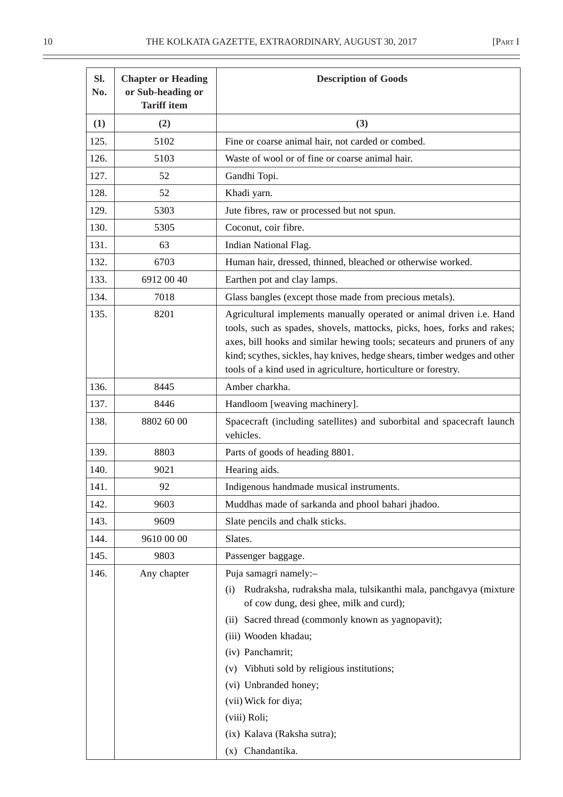| Sl.<br>No. | <b>Chapter or Heading</b><br>or Sub-heading or<br><b>Tariff item</b> | <b>Description of Goods</b>                                                                                                                                                                                                                                                                                                                                               |
|------------|----------------------------------------------------------------------|---------------------------------------------------------------------------------------------------------------------------------------------------------------------------------------------------------------------------------------------------------------------------------------------------------------------------------------------------------------------------|
| (1)        | (2)                                                                  | (3)                                                                                                                                                                                                                                                                                                                                                                       |
| 125.       | 5102                                                                 | Fine or coarse animal hair, not carded or combed.                                                                                                                                                                                                                                                                                                                         |
| 126.       | 5103                                                                 | Waste of wool or of fine or coarse animal hair.                                                                                                                                                                                                                                                                                                                           |
| 127.       | 52                                                                   | Gandhi Topi.                                                                                                                                                                                                                                                                                                                                                              |
| 128.       | 52                                                                   | Khadi yarn.                                                                                                                                                                                                                                                                                                                                                               |
| 129.       | 5303                                                                 | Jute fibres, raw or processed but not spun.                                                                                                                                                                                                                                                                                                                               |
| 130.       | 5305                                                                 | Coconut, coir fibre.                                                                                                                                                                                                                                                                                                                                                      |
| 131.       | 63                                                                   | Indian National Flag.                                                                                                                                                                                                                                                                                                                                                     |
| 132.       | 6703                                                                 | Human hair, dressed, thinned, bleached or otherwise worked.                                                                                                                                                                                                                                                                                                               |
| 133.       | 6912 00 40                                                           | Earthen pot and clay lamps.                                                                                                                                                                                                                                                                                                                                               |
| 134.       | 7018                                                                 | Glass bangles (except those made from precious metals).                                                                                                                                                                                                                                                                                                                   |
| 135.       | 8201                                                                 | Agricultural implements manually operated or animal driven i.e. Hand<br>tools, such as spades, shovels, mattocks, picks, hoes, forks and rakes;<br>axes, bill hooks and similar hewing tools; secateurs and pruners of any<br>kind; scythes, sickles, hay knives, hedge shears, timber wedges and other<br>tools of a kind used in agriculture, horticulture or forestry. |
| 136.       | 8445                                                                 | Amber charkha.                                                                                                                                                                                                                                                                                                                                                            |
| 137.       | 8446                                                                 | Handloom [weaving machinery].                                                                                                                                                                                                                                                                                                                                             |
| 138.       | 8802 60 00                                                           | Spacecraft (including satellites) and suborbital and spacecraft launch<br>vehicles.                                                                                                                                                                                                                                                                                       |
| 139.       | 8803                                                                 | Parts of goods of heading 8801.                                                                                                                                                                                                                                                                                                                                           |
| 140.       | 9021                                                                 | Hearing aids.                                                                                                                                                                                                                                                                                                                                                             |
| 141.       | 92                                                                   | Indigenous handmade musical instruments.                                                                                                                                                                                                                                                                                                                                  |
| 142.       | 9603                                                                 | Muddhas made of sarkanda and phool bahari jhadoo.                                                                                                                                                                                                                                                                                                                         |
| 143.       | 9609                                                                 | Slate pencils and chalk sticks.                                                                                                                                                                                                                                                                                                                                           |
| 144.       | 9610 00 00                                                           | Slates.                                                                                                                                                                                                                                                                                                                                                                   |
| 145.       | 9803                                                                 | Passenger baggage.                                                                                                                                                                                                                                                                                                                                                        |
| 146.       | Any chapter                                                          | Puja samagri namely:-                                                                                                                                                                                                                                                                                                                                                     |
|            |                                                                      | Rudraksha, rudraksha mala, tulsikanthi mala, panchgavya (mixture<br>(i)<br>of cow dung, desi ghee, milk and curd);                                                                                                                                                                                                                                                        |
|            |                                                                      | (ii) Sacred thread (commonly known as yagnopavit);                                                                                                                                                                                                                                                                                                                        |
|            |                                                                      | (iii) Wooden khadau;                                                                                                                                                                                                                                                                                                                                                      |
|            |                                                                      | (iv) Panchamrit;                                                                                                                                                                                                                                                                                                                                                          |
|            |                                                                      | (v) Vibhuti sold by religious institutions;                                                                                                                                                                                                                                                                                                                               |
|            |                                                                      | (vi) Unbranded honey;                                                                                                                                                                                                                                                                                                                                                     |
|            |                                                                      | (vii) Wick for diya;                                                                                                                                                                                                                                                                                                                                                      |
|            |                                                                      | (viii) Roli;                                                                                                                                                                                                                                                                                                                                                              |
|            |                                                                      | (ix) Kalava (Raksha sutra);                                                                                                                                                                                                                                                                                                                                               |
|            |                                                                      | (x) Chandantika.                                                                                                                                                                                                                                                                                                                                                          |

÷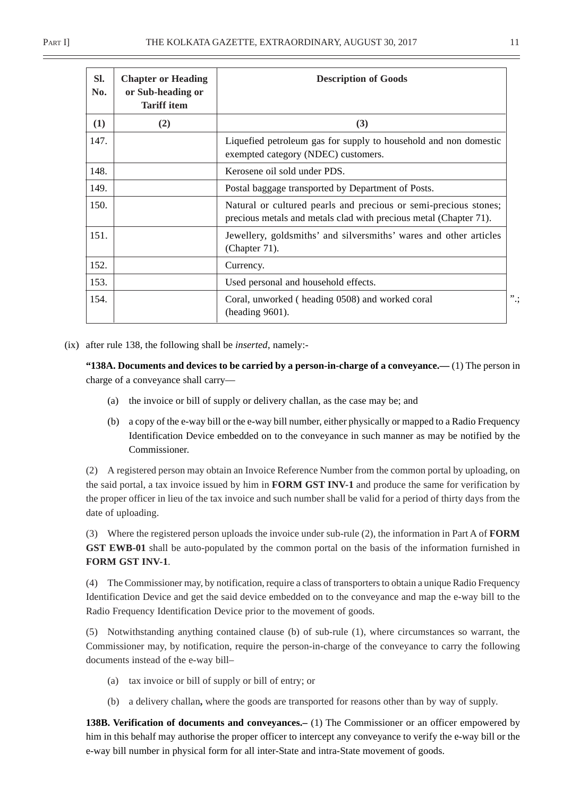| SI.<br>No. | <b>Chapter or Heading</b><br>or Sub-heading or<br><b>Tariff</b> item | <b>Description of Goods</b>                                                                                                           |
|------------|----------------------------------------------------------------------|---------------------------------------------------------------------------------------------------------------------------------------|
| (1)        | (2)                                                                  | (3)                                                                                                                                   |
| 147.       |                                                                      | Liquefied petroleum gas for supply to household and non domestic<br>exempted category (NDEC) customers.                               |
| 148.       |                                                                      | Kerosene oil sold under PDS.                                                                                                          |
| 149.       |                                                                      | Postal baggage transported by Department of Posts.                                                                                    |
| 150.       |                                                                      | Natural or cultured pearls and precious or semi-precious stones;<br>precious metals and metals clad with precious metal (Chapter 71). |
| 151.       |                                                                      | Jewellery, goldsmiths' and silversmiths' wares and other articles<br>(Chapter 71).                                                    |
| 152.       |                                                                      | Currency.                                                                                                                             |
| 153.       |                                                                      | Used personal and household effects.                                                                                                  |
| 154.       |                                                                      | Coral, unworked (heading 0508) and worked coral<br>(heading 9601).                                                                    |

(ix) after rule 138, the following shall be *inserted*, namely:-

**"138A. Documents and devices to be carried by a person-in-charge of a conveyance.—** (1) The person in charge of a conveyance shall carry—

- (a) the invoice or bill of supply or delivery challan, as the case may be; and
- (b) a copy of the e-way bill or the e-way bill number, either physically or mapped to a Radio Frequency Identification Device embedded on to the conveyance in such manner as may be notified by the Commissioner.

(2) A registered person may obtain an Invoice Reference Number from the common portal by uploading, on the said portal, a tax invoice issued by him in **FORM GST INV-1** and produce the same for verification by the proper officer in lieu of the tax invoice and such number shall be valid for a period of thirty days from the date of uploading.

(3) Where the registered person uploads the invoice under sub-rule (2), the information in Part A of **FORM GST EWB-01** shall be auto-populated by the common portal on the basis of the information furnished in **FORM GST INV-1**.

(4) The Commissioner may, by notification, require a class of transporters to obtain a unique Radio Frequency Identification Device and get the said device embedded on to the conveyance and map the e-way bill to the Radio Frequency Identification Device prior to the movement of goods.

(5) Notwithstanding anything contained clause (b) of sub-rule (1), where circumstances so warrant, the Commissioner may, by notification, require the person-in-charge of the conveyance to carry the following documents instead of the e-way bill–

- (a) tax invoice or bill of supply or bill of entry; or
- (b) a delivery challan**,** where the goods are transported for reasons other than by way of supply.

**138B. Verification of documents and conveyances.–** (1) The Commissioner or an officer empowered by him in this behalf may authorise the proper officer to intercept any conveyance to verify the e-way bill or the e-way bill number in physical form for all inter-State and intra-State movement of goods.

".;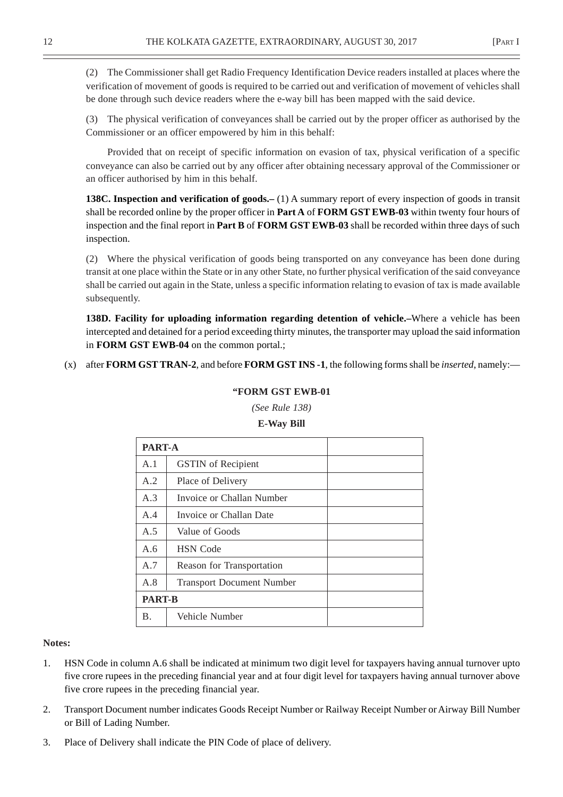(2) The Commissioner shall get Radio Frequency Identification Device readers installed at places where the verification of movement of goods is required to be carried out and verification of movement of vehicles shall be done through such device readers where the e-way bill has been mapped with the said device.

(3) The physical verification of conveyances shall be carried out by the proper officer as authorised by the Commissioner or an officer empowered by him in this behalf:

Provided that on receipt of specific information on evasion of tax, physical verification of a specific conveyance can also be carried out by any officer after obtaining necessary approval of the Commissioner or an officer authorised by him in this behalf.

**138C. Inspection and verification of goods.–** (1) A summary report of every inspection of goods in transit shall be recorded online by the proper officer in **Part A** of **FORM GST EWB-03** within twenty four hours of inspection and the final report in **Part B** of **FORM GST EWB-03** shall be recorded within three days of such inspection.

(2) Where the physical verification of goods being transported on any conveyance has been done during transit at one place within the State or in any other State, no further physical verification of the said conveyance shall be carried out again in the State, unless a specific information relating to evasion of tax is made available subsequently.

**138D. Facility for uploading information regarding detention of vehicle.–**Where a vehicle has been intercepted and detained for a period exceeding thirty minutes, the transporter may upload the said information in **FORM GST EWB-04** on the common portal.;

(x) after **FORM GST TRAN-2**, and before **FORM GST INS -1**, the following forms shall be *inserted*, namely:—

#### **"FORM GST EWB-01**

*(See Rule 138)*

#### **E-Way Bill**

|     | <b>PART-A</b>                    |  |  |
|-----|----------------------------------|--|--|
| A.1 | <b>GSTIN</b> of Recipient        |  |  |
| A.2 | Place of Delivery                |  |  |
| A.3 | Invoice or Challan Number        |  |  |
| A.4 | Invoice or Challan Date          |  |  |
| A.5 | Value of Goods                   |  |  |
| A.6 | <b>HSN</b> Code                  |  |  |
| A.7 | Reason for Transportation        |  |  |
| A.8 | <b>Transport Document Number</b> |  |  |
|     | <b>PART-B</b>                    |  |  |
| Β.  | Vehicle Number                   |  |  |

#### **Notes:**

- 1. HSN Code in column A.6 shall be indicated at minimum two digit level for taxpayers having annual turnover upto five crore rupees in the preceding financial year and at four digit level for taxpayers having annual turnover above five crore rupees in the preceding financial year.
- 2. Transport Document number indicates Goods Receipt Number or Railway Receipt Number or Airway Bill Number or Bill of Lading Number.
- 3. Place of Delivery shall indicate the PIN Code of place of delivery.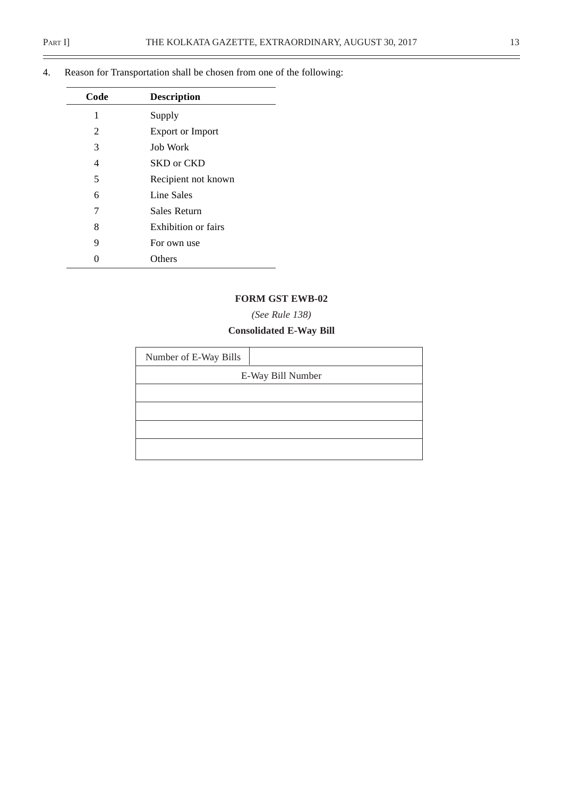$\overline{\phantom{0}}$ 

| Code | <b>Description</b>      |
|------|-------------------------|
| 1    | Supply                  |
| 2    | <b>Export or Import</b> |
| 3    | <b>Job Work</b>         |
| 4    | SKD or CKD              |
| 5    | Recipient not known     |
| 6    | Line Sales              |
| 7    | Sales Return            |
| 8    | Exhibition or fairs     |
| 9    | For own use             |
|      | <b>Others</b>           |

4. Reason for Transportation shall be chosen from one of the following:

#### **FORM GST EWB-02**

#### *(See Rule 138)*

# **Consolidated E-Way Bill**

| Number of E-Way Bills |                   |
|-----------------------|-------------------|
|                       | E-Way Bill Number |
|                       |                   |
|                       |                   |
|                       |                   |
|                       |                   |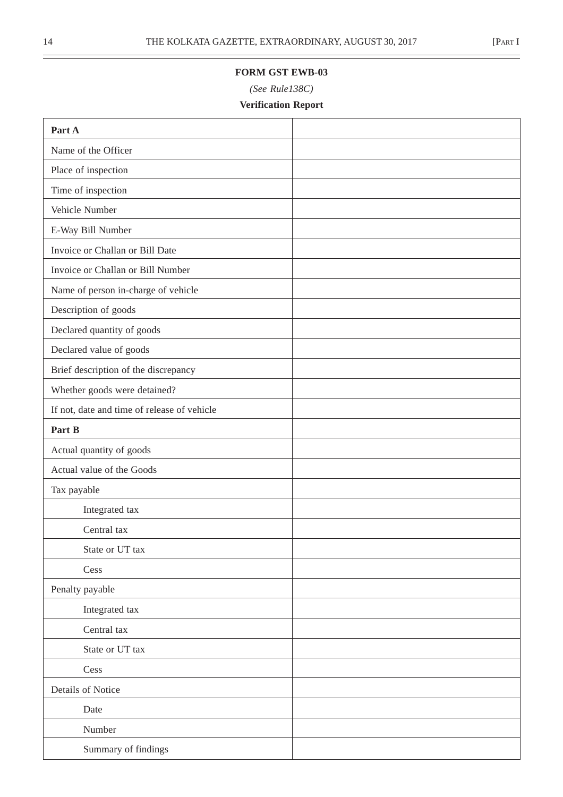÷

#### **FORM GST EWB-03**

*(See Rule138C)*

# **Verification Report**

| Part A                                      |  |
|---------------------------------------------|--|
| Name of the Officer                         |  |
| Place of inspection                         |  |
| Time of inspection                          |  |
| Vehicle Number                              |  |
| E-Way Bill Number                           |  |
| Invoice or Challan or Bill Date             |  |
| Invoice or Challan or Bill Number           |  |
| Name of person in-charge of vehicle         |  |
| Description of goods                        |  |
| Declared quantity of goods                  |  |
| Declared value of goods                     |  |
| Brief description of the discrepancy        |  |
| Whether goods were detained?                |  |
| If not, date and time of release of vehicle |  |
| Part B                                      |  |
| Actual quantity of goods                    |  |
| Actual value of the Goods                   |  |
| Tax payable                                 |  |
| Integrated tax                              |  |
| Central tax                                 |  |
| State or UT tax                             |  |
| Cess                                        |  |
| Penalty payable                             |  |
| Integrated tax                              |  |
| Central tax                                 |  |
| State or UT tax                             |  |
| Cess                                        |  |
| Details of Notice                           |  |
| Date                                        |  |
| Number                                      |  |
| Summary of findings                         |  |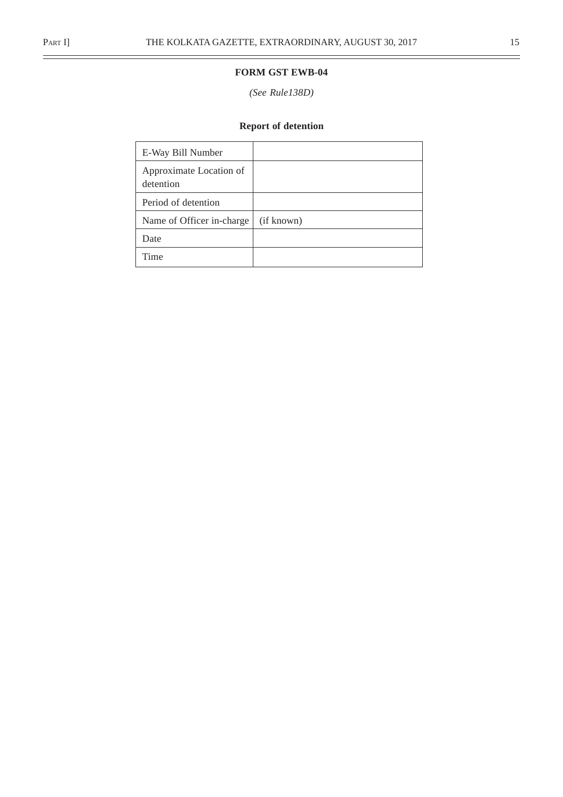$\equiv$ 

#### **FORM GST EWB-04**

#### *(See Rule138D)*

# **Report of detention**

| E-Way Bill Number                    |            |
|--------------------------------------|------------|
| Approximate Location of<br>detention |            |
| Period of detention                  |            |
| Name of Officer in-charge            | (if known) |
| Date                                 |            |
| Time                                 |            |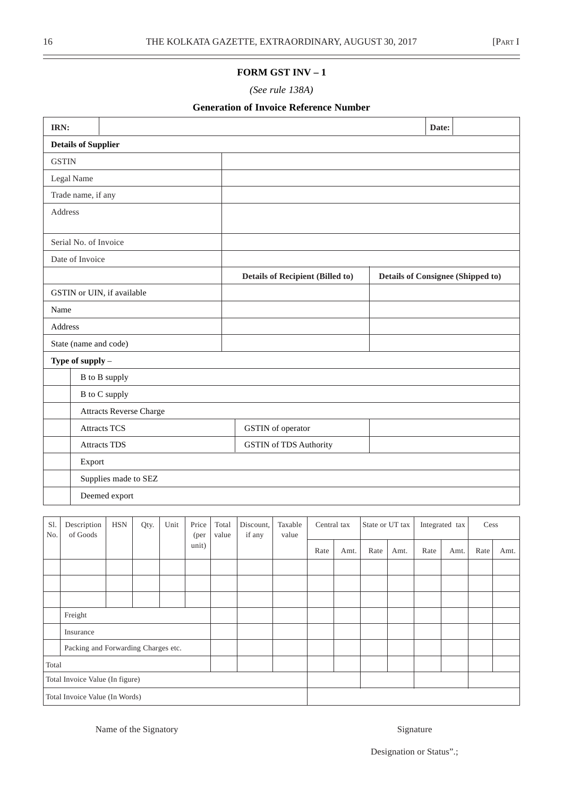#### **FORM GST INV – 1**

*(See rule 138A)*

#### **Generation of Invoice Reference Number**

| IRN: |                            |                                |      |      |       |       |           |                                         |             |      |                 |      | Date: |                                          |      |      |
|------|----------------------------|--------------------------------|------|------|-------|-------|-----------|-----------------------------------------|-------------|------|-----------------|------|-------|------------------------------------------|------|------|
|      | <b>Details of Supplier</b> |                                |      |      |       |       |           |                                         |             |      |                 |      |       |                                          |      |      |
|      | <b>GSTIN</b>               |                                |      |      |       |       |           |                                         |             |      |                 |      |       |                                          |      |      |
|      | Legal Name                 |                                |      |      |       |       |           |                                         |             |      |                 |      |       |                                          |      |      |
|      | Trade name, if any         |                                |      |      |       |       |           |                                         |             |      |                 |      |       |                                          |      |      |
|      | Address                    |                                |      |      |       |       |           |                                         |             |      |                 |      |       |                                          |      |      |
|      | Serial No. of Invoice      |                                |      |      |       |       |           |                                         |             |      |                 |      |       |                                          |      |      |
|      | Date of Invoice            |                                |      |      |       |       |           |                                         |             |      |                 |      |       |                                          |      |      |
|      |                            |                                |      |      |       |       |           | <b>Details of Recipient (Billed to)</b> |             |      |                 |      |       | <b>Details of Consignee (Shipped to)</b> |      |      |
|      | GSTIN or UIN, if available |                                |      |      |       |       |           |                                         |             |      |                 |      |       |                                          |      |      |
|      | Name                       |                                |      |      |       |       |           |                                         |             |      |                 |      |       |                                          |      |      |
|      | Address                    |                                |      |      |       |       |           |                                         |             |      |                 |      |       |                                          |      |      |
|      | State (name and code)      |                                |      |      |       |       |           |                                         |             |      |                 |      |       |                                          |      |      |
|      | Type of supply $-$         |                                |      |      |       |       |           |                                         |             |      |                 |      |       |                                          |      |      |
|      | B to B supply              |                                |      |      |       |       |           |                                         |             |      |                 |      |       |                                          |      |      |
|      | B to C supply              |                                |      |      |       |       |           |                                         |             |      |                 |      |       |                                          |      |      |
|      |                            | <b>Attracts Reverse Charge</b> |      |      |       |       |           |                                         |             |      |                 |      |       |                                          |      |      |
|      | <b>Attracts TCS</b>        |                                |      |      |       |       |           | GSTIN of operator                       |             |      |                 |      |       |                                          |      |      |
|      | <b>Attracts TDS</b>        |                                |      |      |       |       |           | <b>GSTIN</b> of TDS Authority           |             |      |                 |      |       |                                          |      |      |
|      | Export                     |                                |      |      |       |       |           |                                         |             |      |                 |      |       |                                          |      |      |
|      |                            | Supplies made to SEZ           |      |      |       |       |           |                                         |             |      |                 |      |       |                                          |      |      |
|      |                            | Deemed export                  |      |      |       |       |           |                                         |             |      |                 |      |       |                                          |      |      |
| S1.  | Description                | <b>HSN</b>                     |      | Unit | Price | Total | Discount, | Taxable                                 | Central tax |      | State or UT tax |      |       | Integrated tax                           | Cess |      |
| No.  | of Goods                   |                                | Qty. |      | (per  | value | if any    | value                                   |             |      |                 |      |       |                                          |      |      |
|      |                            |                                |      |      | unit) |       |           |                                         | Rate        | Amt. | Rate            | Amt. | Rate  | Amt.                                     | Rate | Amt. |
|      |                            |                                |      |      |       |       |           |                                         |             |      |                 |      |       |                                          |      |      |
|      |                            |                                |      |      |       |       |           |                                         |             |      |                 |      |       |                                          |      |      |
|      |                            |                                |      |      |       |       |           |                                         |             |      |                 |      |       |                                          |      |      |

|                                 | Freight                             |  |  |  |  |  |  |  |  |  |  |  |
|---------------------------------|-------------------------------------|--|--|--|--|--|--|--|--|--|--|--|
|                                 | Insurance                           |  |  |  |  |  |  |  |  |  |  |  |
|                                 | Packing and Forwarding Charges etc. |  |  |  |  |  |  |  |  |  |  |  |
| Total                           |                                     |  |  |  |  |  |  |  |  |  |  |  |
| Total Invoice Value (In figure) |                                     |  |  |  |  |  |  |  |  |  |  |  |
| Total Invoice Value (In Words)  |                                     |  |  |  |  |  |  |  |  |  |  |  |

Name of the Signatory Signature

Designation or Status".;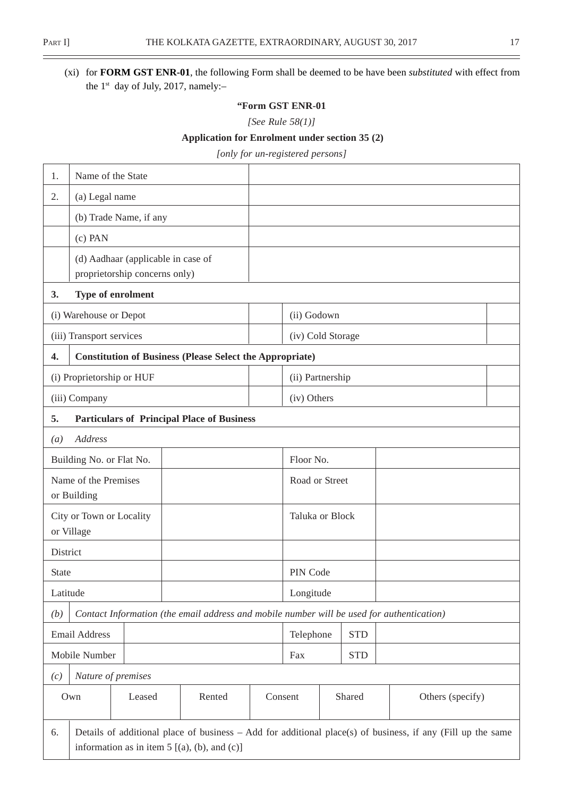$\overline{\phantom{0}}$ 

# (xi) for **FORM GST ENR-01**, the following Form shall be deemed to be have been *substituted* with effect from the 1<sup>st</sup> day of July, 2017, namely:-

#### **"Form GST ENR-01**

*[See Rule 58(1)]*

#### **Application for Enrolment under section 35 (2)**

*[only for un-registered persons]*

| 1.               | Name of the State                   |                               |                                                                                           |         |                   |            |                                                                                                               |
|------------------|-------------------------------------|-------------------------------|-------------------------------------------------------------------------------------------|---------|-------------------|------------|---------------------------------------------------------------------------------------------------------------|
| 2.               | (a) Legal name                      |                               |                                                                                           |         |                   |            |                                                                                                               |
|                  |                                     | (b) Trade Name, if any        |                                                                                           |         |                   |            |                                                                                                               |
|                  | $(c)$ PAN                           |                               |                                                                                           |         |                   |            |                                                                                                               |
|                  |                                     |                               | (d) Aadhaar (applicable in case of                                                        |         |                   |            |                                                                                                               |
|                  |                                     | proprietorship concerns only) |                                                                                           |         |                   |            |                                                                                                               |
| 3.               |                                     | Type of enrolment             |                                                                                           |         |                   |            |                                                                                                               |
|                  | (i) Warehouse or Depot              |                               |                                                                                           |         | (ii) Godown       |            |                                                                                                               |
|                  | (iii) Transport services            |                               |                                                                                           |         | (iv) Cold Storage |            |                                                                                                               |
| 4.               |                                     |                               | <b>Constitution of Business (Please Select the Appropriate)</b>                           |         |                   |            |                                                                                                               |
|                  | (i) Proprietorship or HUF           |                               |                                                                                           |         | (ii) Partnership  |            |                                                                                                               |
|                  | (iii) Company                       |                               |                                                                                           |         | (iv) Others       |            |                                                                                                               |
| 5.               |                                     |                               | <b>Particulars of Principal Place of Business</b>                                         |         |                   |            |                                                                                                               |
| $\left(a\right)$ | Address                             |                               |                                                                                           |         |                   |            |                                                                                                               |
|                  | Building No. or Flat No.            |                               |                                                                                           |         | Floor No.         |            |                                                                                                               |
|                  | Name of the Premises<br>or Building |                               |                                                                                           |         | Road or Street    |            |                                                                                                               |
|                  | City or Town or Locality            |                               |                                                                                           |         | Taluka or Block   |            |                                                                                                               |
|                  | or Village                          |                               |                                                                                           |         |                   |            |                                                                                                               |
| District         |                                     |                               |                                                                                           |         |                   |            |                                                                                                               |
| <b>State</b>     |                                     |                               |                                                                                           |         | PIN Code          |            |                                                                                                               |
| Latitude         |                                     |                               |                                                                                           |         | Longitude         |            |                                                                                                               |
| (b)              |                                     |                               | Contact Information (the email address and mobile number will be used for authentication) |         |                   |            |                                                                                                               |
|                  | Email Address                       |                               |                                                                                           |         | Telephone         | <b>STD</b> |                                                                                                               |
|                  | Mobile Number                       |                               |                                                                                           |         | Fax               | <b>STD</b> |                                                                                                               |
| (c)              | Nature of premises                  |                               |                                                                                           |         |                   |            |                                                                                                               |
|                  | Own                                 | Leased                        | Rented                                                                                    | Consent |                   | Shared     | Others (specify)                                                                                              |
| 6.               |                                     |                               | information as in item $5$ [(a), (b), and (c)]                                            |         |                   |            | Details of additional place of business $-$ Add for additional place(s) of business, if any (Fill up the same |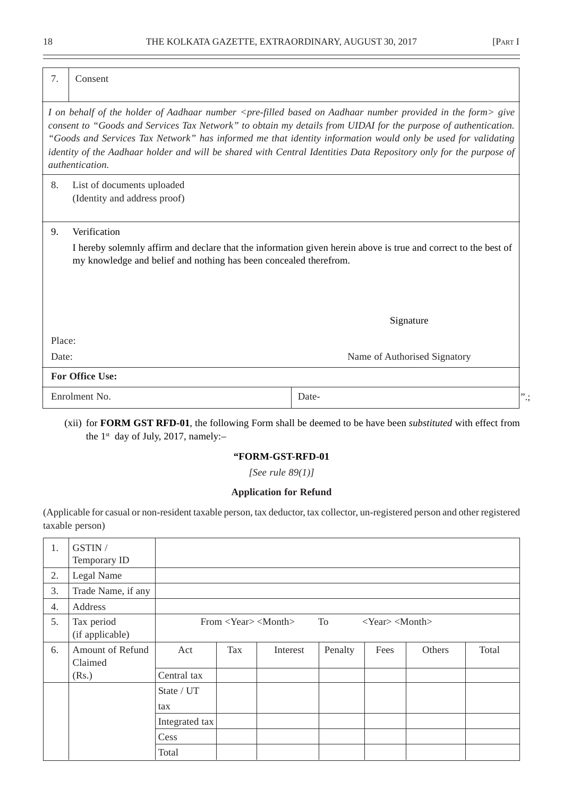| 7.     | Consent                                                                           |                                                                                                                                                                                                                                                                                                                                                                                                                                                                                                           |
|--------|-----------------------------------------------------------------------------------|-----------------------------------------------------------------------------------------------------------------------------------------------------------------------------------------------------------------------------------------------------------------------------------------------------------------------------------------------------------------------------------------------------------------------------------------------------------------------------------------------------------|
|        | <i>authentication.</i>                                                            | I on behalf of the holder of Aadhaar number <pre-filled aadhaar="" based="" form="" in="" number="" on="" provided="" the=""> give<br/>consent to "Goods and Services Tax Network" to obtain my details from UIDAI for the purpose of authentication.<br/>"Goods and Services Tax Network" has informed me that identity information would only be used for validating<br/>identity of the Aadhaar holder and will be shared with Central Identities Data Repository only for the purpose of</pre-filled> |
| 8.     | List of documents uploaded<br>(Identity and address proof)                        |                                                                                                                                                                                                                                                                                                                                                                                                                                                                                                           |
| 9.     | Verification<br>my knowledge and belief and nothing has been concealed therefrom. | I hereby solemnly affirm and declare that the information given herein above is true and correct to the best of                                                                                                                                                                                                                                                                                                                                                                                           |
|        |                                                                                   | Signature                                                                                                                                                                                                                                                                                                                                                                                                                                                                                                 |
| Place: |                                                                                   |                                                                                                                                                                                                                                                                                                                                                                                                                                                                                                           |
| Date:  |                                                                                   | Name of Authorised Signatory                                                                                                                                                                                                                                                                                                                                                                                                                                                                              |
|        | <b>For Office Use:</b>                                                            |                                                                                                                                                                                                                                                                                                                                                                                                                                                                                                           |
|        | Enrolment No.                                                                     | Date-<br>".;                                                                                                                                                                                                                                                                                                                                                                                                                                                                                              |

(xii) for **FORM GST RFD-01**, the following Form shall be deemed to be have been *substituted* with effect from the  $1^{st}$  day of July, 2017, namely:-

#### **"FORM-GST-RFD-01**

*[See rule 89(1)]*

#### **Application for Refund**

(Applicable for casual or non-resident taxable person, tax deductor, tax collector, un-registered person and other registered taxable person)

| 1. | GSTIN /<br>Temporary ID       |                |     |                                                     |         |                               |        |       |
|----|-------------------------------|----------------|-----|-----------------------------------------------------|---------|-------------------------------|--------|-------|
| 2. | Legal Name                    |                |     |                                                     |         |                               |        |       |
| 3. | Trade Name, if any            |                |     |                                                     |         |                               |        |       |
| 4. | Address                       |                |     |                                                     |         |                               |        |       |
| 5. | Tax period<br>(if applicable) |                |     | From $\langle Year \rangle$ $\langle Month \rangle$ | To To   | $<\text{Year}><\text{Month}>$ |        |       |
| 6. | Amount of Refund<br>Claimed   | Act            | Tax | Interest                                            | Penalty | Fees                          | Others | Total |
|    | (Rs.)                         | Central tax    |     |                                                     |         |                               |        |       |
|    |                               | State / UT     |     |                                                     |         |                               |        |       |
|    |                               | tax            |     |                                                     |         |                               |        |       |
|    |                               | Integrated tax |     |                                                     |         |                               |        |       |
|    |                               | Cess           |     |                                                     |         |                               |        |       |
|    |                               | Total          |     |                                                     |         |                               |        |       |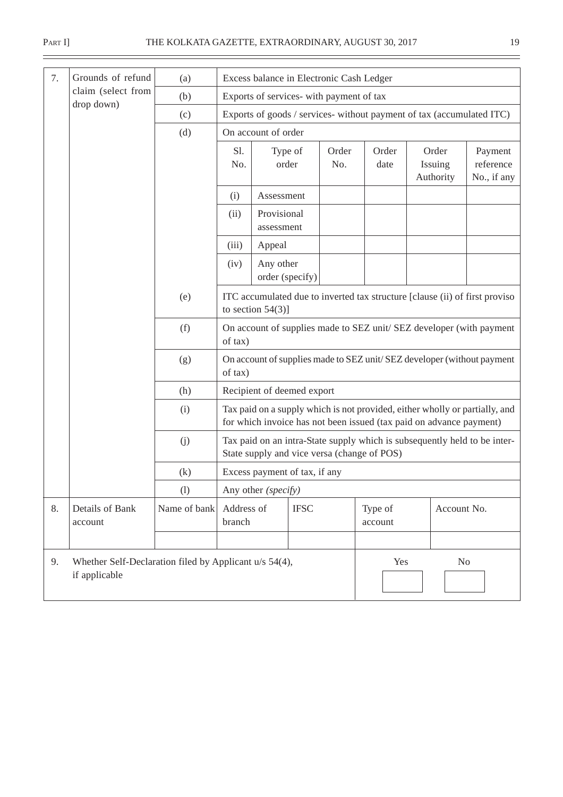| 7. | Grounds of refund          | (a)          |                                                                                 | Excess balance in Electronic Cash Ledger                                                                                                           |              |                    |  |                               |                                     |  |  |  |
|----|----------------------------|--------------|---------------------------------------------------------------------------------|----------------------------------------------------------------------------------------------------------------------------------------------------|--------------|--------------------|--|-------------------------------|-------------------------------------|--|--|--|
|    | claim (select from         | (b)          |                                                                                 | Exports of services- with payment of tax                                                                                                           |              |                    |  |                               |                                     |  |  |  |
|    | drop down)                 | (c)          |                                                                                 | Exports of goods / services- without payment of tax (accumulated ITC)                                                                              |              |                    |  |                               |                                     |  |  |  |
|    |                            | (d)          |                                                                                 | On account of order                                                                                                                                |              |                    |  |                               |                                     |  |  |  |
|    |                            |              | Sl.<br>No.                                                                      | Type of<br>order                                                                                                                                   | Order<br>No. | Order<br>date      |  | Order<br>Issuing<br>Authority | Payment<br>reference<br>No., if any |  |  |  |
|    |                            |              | (i)                                                                             | Assessment                                                                                                                                         |              |                    |  |                               |                                     |  |  |  |
|    |                            |              | (ii)                                                                            |                                                                                                                                                    |              |                    |  |                               |                                     |  |  |  |
|    |                            |              | (iii)<br>Appeal                                                                 |                                                                                                                                                    |              |                    |  |                               |                                     |  |  |  |
|    |                            |              | Any other<br>(iv)<br>order (specify)                                            |                                                                                                                                                    |              |                    |  |                               |                                     |  |  |  |
|    |                            | (e)          |                                                                                 | ITC accumulated due to inverted tax structure [clause (ii) of first proviso<br>to section $54(3)$ ]                                                |              |                    |  |                               |                                     |  |  |  |
|    |                            | (f)          | of tax)                                                                         | On account of supplies made to SEZ unit/SEZ developer (with payment                                                                                |              |                    |  |                               |                                     |  |  |  |
|    |                            | (g)          | of tax)                                                                         | On account of supplies made to SEZ unit/SEZ developer (without payment                                                                             |              |                    |  |                               |                                     |  |  |  |
|    |                            | (h)          |                                                                                 | Recipient of deemed export                                                                                                                         |              |                    |  |                               |                                     |  |  |  |
|    |                            | (i)          |                                                                                 | Tax paid on a supply which is not provided, either wholly or partially, and<br>for which invoice has not been issued (tax paid on advance payment) |              |                    |  |                               |                                     |  |  |  |
|    |                            | (j)          |                                                                                 | Tax paid on an intra-State supply which is subsequently held to be inter-<br>State supply and vice versa (change of POS)                           |              |                    |  |                               |                                     |  |  |  |
|    |                            | (k)          |                                                                                 | Excess payment of tax, if any                                                                                                                      |              |                    |  |                               |                                     |  |  |  |
|    |                            | (1)          | Any other (specify)                                                             |                                                                                                                                                    |              |                    |  |                               |                                     |  |  |  |
| 8. | Details of Bank<br>account | Name of bank | Address of<br>branch                                                            | <b>IFSC</b>                                                                                                                                        |              | Type of<br>account |  | Account No.                   |                                     |  |  |  |
|    |                            |              |                                                                                 |                                                                                                                                                    |              |                    |  |                               |                                     |  |  |  |
| 9. | if applicable              |              | Whether Self-Declaration filed by Applicant u/s 54(4),<br>Yes<br>N <sub>o</sub> |                                                                                                                                                    |              |                    |  |                               |                                     |  |  |  |

 $\equiv$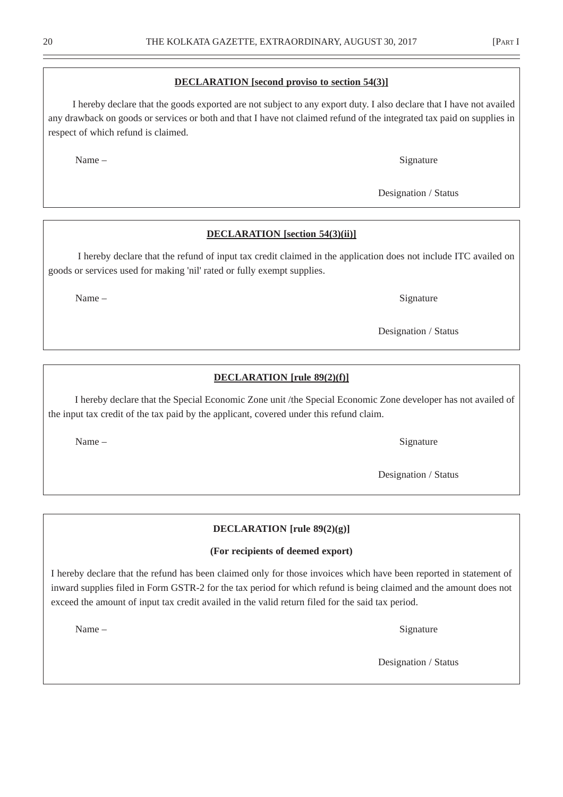#### **DECLARATION [second proviso to section 54(3)]**

 I hereby declare that the goods exported are not subject to any export duty. I also declare that I have not availed any drawback on goods or services or both and that I have not claimed refund of the integrated tax paid on supplies in respect of which refund is claimed.

Name – Signature

#### **DECLARATION [section 54(3)(ii)]**

 I hereby declare that the refund of input tax credit claimed in the application does not include ITC availed on goods or services used for making 'nil' rated or fully exempt supplies.

#### **DECLARATION [rule 89(2)(f)]**

 I hereby declare that the Special Economic Zone unit /the Special Economic Zone developer has not availed of the input tax credit of the tax paid by the applicant, covered under this refund claim.

Name – Signature

Designation / Status

#### **DECLARATION [rule 89(2)(g)]**

#### **(For recipients of deemed export)**

I hereby declare that the refund has been claimed only for those invoices which have been reported in statement of inward supplies filed in Form GSTR-2 for the tax period for which refund is being claimed and the amount does not exceed the amount of input tax credit availed in the valid return filed for the said tax period.

Name – Signature – Signature – Signature – Signature – Signature – Signature – Signature – Signature – Signature – Signature – Signature – Signature – Signature – Signature – Signature – Signature – Signature – Signature –

Designation / Status

Name – Signature

Designation / Status

Designation / Status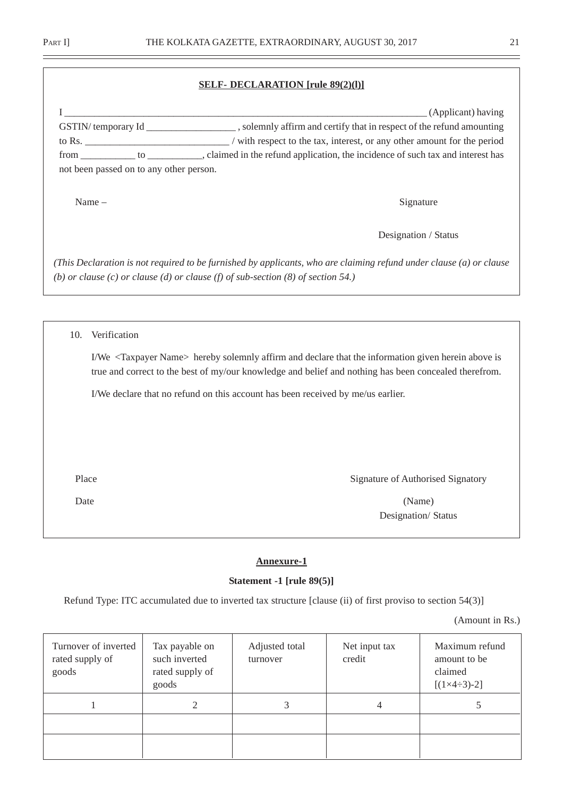#### **SELF- DECLARATION [rule 89(2)(l)]**

|     | not been passed on to any other person. | (Applicant) having<br>GSTIN/temporary Id ____________________, solemnly affirm and certify that in respect of the refund amounting<br>from ____________ to ____________, claimed in the refund application, the incidence of such tax and interest has |
|-----|-----------------------------------------|--------------------------------------------------------------------------------------------------------------------------------------------------------------------------------------------------------------------------------------------------------|
|     | Name $-$                                | Signature                                                                                                                                                                                                                                              |
|     |                                         | Designation / Status                                                                                                                                                                                                                                   |
|     |                                         | (This Declaration is not required to be furnished by applicants, who are claiming refund under clause (a) or clause<br>(b) or clause (c) or clause (d) or clause (f) of sub-section $(8)$ of section 54.)                                              |
|     |                                         |                                                                                                                                                                                                                                                        |
| 10. | Verification                            |                                                                                                                                                                                                                                                        |
|     |                                         | I/We <taxpayer name=""> hereby solemnly affirm and declare that the information given herein above is<br/>true and correct to the best of my/our knowledge and belief and nothing has been concealed therefrom.</taxpayer>                             |

I/We declare that no refund on this account has been received by me/us earlier.

Place Signature of Authorised Signatory

Date (Name) Designation/ Status

#### **Annexure-1**

#### **Statement -1 [rule 89(5)]**

Refund Type: ITC accumulated due to inverted tax structure [clause (ii) of first proviso to section 54(3)]

(Amount in Rs.)

| Turnover of inverted<br>rated supply of<br>goods | Tax payable on<br>such inverted<br>rated supply of<br>goods | Adjusted total<br>turnover | Net input tax<br>credit | Maximum refund<br>amount to be<br>claimed<br>$[(1\times4\div3)\cdot2]$ |
|--------------------------------------------------|-------------------------------------------------------------|----------------------------|-------------------------|------------------------------------------------------------------------|
|                                                  |                                                             | 3                          | 4                       |                                                                        |
|                                                  |                                                             |                            |                         |                                                                        |
|                                                  |                                                             |                            |                         |                                                                        |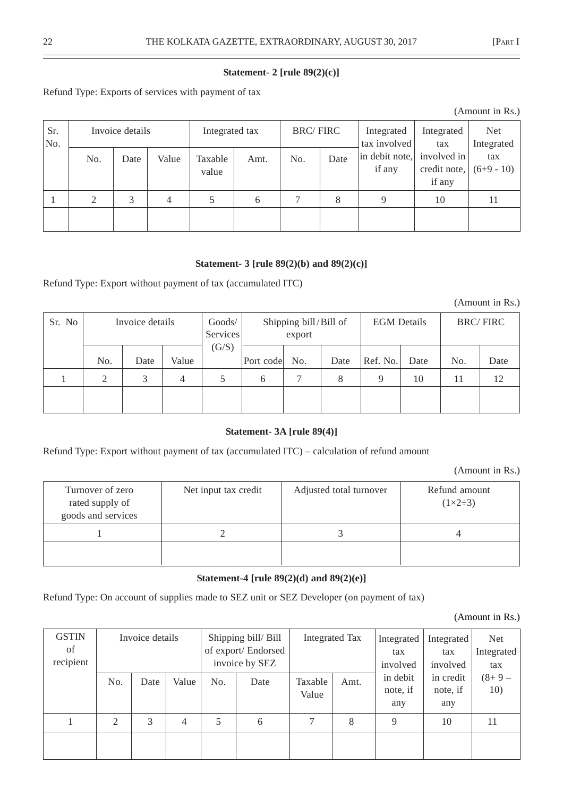## **Statement- 2 [rule 89(2)(c)]**

Refund Type: Exports of services with payment of tax

| Sr.<br>No. |     | Invoice details |       | Integrated tax   |      | <b>BRC/FIRC</b> |      | Integrated<br>tax involved | Integrated<br>tax                     | <b>Net</b><br>Integrated |
|------------|-----|-----------------|-------|------------------|------|-----------------|------|----------------------------|---------------------------------------|--------------------------|
|            | No. | Date            | Value | Taxable<br>value | Amt. | No.             | Date | in debit note,<br>if any   | involved in<br>credit note,<br>if any | tax<br>$(6+9-10)$        |
|            | 2   | 3               | 4     |                  | 6    | $\mathcal{I}$   | 8    | $\mathbf Q$                | 10                                    | 11                       |
|            |     |                 |       |                  |      |                 |      |                            |                                       |                          |

#### **Statement- 3 [rule 89(2)(b) and 89(2)(c)]**

Refund Type: Export without payment of tax (accumulated ITC)

(Amount in Rs.)

| Sr. No |                   | Invoice details |            |       | Services       | Shipping bill/Bill of<br>export |           | <b>EGM</b> Details |            |           | <b>BRC/FIRC</b> |
|--------|-------------------|-----------------|------------|-------|----------------|---------------------------------|-----------|--------------------|------------|-----------|-----------------|
|        | No.<br>$\bigcirc$ | Date<br>3       | Value<br>4 | (G/S) | Port code<br>6 | No.                             | Date<br>8 | Ref. No.           | Date<br>10 | No.<br>11 | Date<br>12      |
|        |                   |                 |            |       |                |                                 |           |                    |            |           |                 |

## **Statement- 3A [rule 89(4)]**

Refund Type: Export without payment of tax (accumulated ITC) – calculation of refund amount

(Amount in Rs.)

| Turnover of zero<br>rated supply of<br>goods and services | Net input tax credit | Adjusted total turnover | Refund amount<br>$(1\times2\div3)$ |
|-----------------------------------------------------------|----------------------|-------------------------|------------------------------------|
|                                                           |                      |                         |                                    |
|                                                           |                      |                         |                                    |

#### **Statement-4 [rule 89(2)(d) and 89(2)(e)]**

Refund Type: On account of supplies made to SEZ unit or SEZ Developer (on payment of tax)

| <b>GSTIN</b><br>of<br>recipient |     | Invoice details |                |     | Shipping bill/Bill<br>of export/ Endorsed<br>invoice by SEZ |                  | Integrated Tax | Integrated<br>tax<br>involved | Integrated<br>tax<br>involved | <b>Net</b><br>Integrated<br>tax<br>$(8 + 9 -$<br>10) |
|---------------------------------|-----|-----------------|----------------|-----|-------------------------------------------------------------|------------------|----------------|-------------------------------|-------------------------------|------------------------------------------------------|
|                                 | No. | Date            | Value          | No. | Date                                                        | Taxable<br>Value | Amt.           | in debit<br>note, if<br>any   | in credit<br>note, if<br>any  |                                                      |
|                                 | 2   | 3               | $\overline{4}$ | 5   | 6                                                           | 7                | 8              | 9                             | 10                            | 11                                                   |
|                                 |     |                 |                |     |                                                             |                  |                |                               |                               |                                                      |

(Amount in Rs.)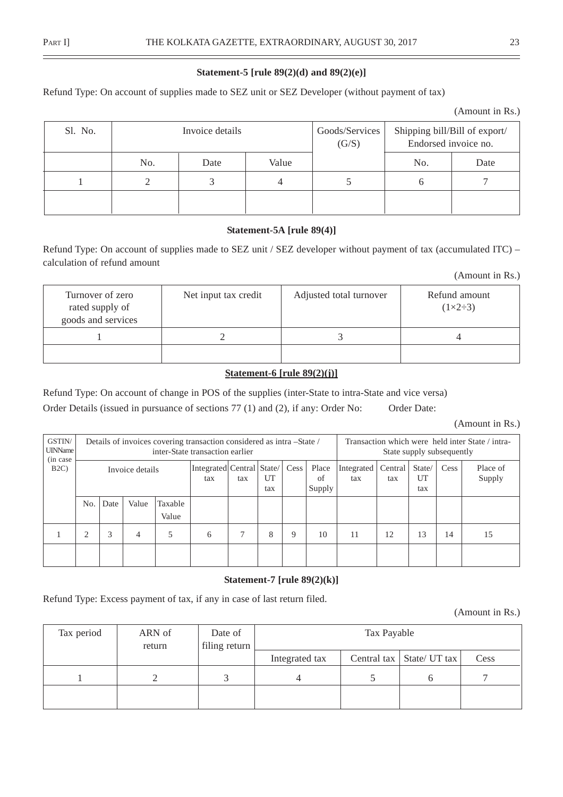#### **Statement-5 [rule 89(2)(d) and 89(2)(e)]**

Refund Type: On account of supplies made to SEZ unit or SEZ Developer (without payment of tax)

| (Amount in Rs.) |  |
|-----------------|--|
|-----------------|--|

| Sl. No. |     | Invoice details |       | Goods/Services<br>(G/S) | Shipping bill/Bill of export/<br>Endorsed invoice no. |      |
|---------|-----|-----------------|-------|-------------------------|-------------------------------------------------------|------|
|         | No. | Date            | Value |                         | No.                                                   | Date |
|         |     |                 |       |                         |                                                       |      |
|         |     |                 |       |                         |                                                       |      |

#### **Statement-5A [rule 89(4)]**

Refund Type: On account of supplies made to SEZ unit / SEZ developer without payment of tax (accumulated ITC) – calculation of refund amount

(Amount in Rs.)

| Turnover of zero<br>rated supply of<br>goods and services | Net input tax credit | Adjusted total turnover | Refund amount<br>$(1\times2\div3)$ |
|-----------------------------------------------------------|----------------------|-------------------------|------------------------------------|
|                                                           |                      |                         |                                    |
|                                                           |                      |                         |                                    |

#### **Statement-6 [rule 89(2)(j)]**

Refund Type: On account of change in POS of the supplies (inter-State to intra-State and vice versa) Order Details (issued in pursuance of sections 77 (1) and (2), if any: Order No: Order Date:

(Amount in Rs.)

| GSTIN/<br><b>UINName</b><br>(in case) |                 |      |       |                                        | Details of invoices covering transaction considered as intra-State /<br>inter-State transaction earlier |           |      |                       | Transaction which were held inter State / intra-<br>State supply subsequently |                |                     |      |                    |    |
|---------------------------------------|-----------------|------|-------|----------------------------------------|---------------------------------------------------------------------------------------------------------|-----------|------|-----------------------|-------------------------------------------------------------------------------|----------------|---------------------|------|--------------------|----|
| B2C                                   | Invoice details |      |       | Integrated   Central   State/  <br>tax | tax                                                                                                     | UT<br>tax | Cess | Place<br>of<br>Supply | Integrated<br>tax                                                             | Central<br>tax | State/<br>UT<br>tax | Cess | Place of<br>Supply |    |
|                                       | No.             | Date | Value | Taxable<br>Value                       |                                                                                                         |           |      |                       |                                                                               |                |                     |      |                    |    |
|                                       |                 | 3    | 4     |                                        | 6                                                                                                       |           | 8    | 9                     | 10                                                                            | 11             | 12                  | 13   | 14                 | 15 |
|                                       |                 |      |       |                                        |                                                                                                         |           |      |                       |                                                                               |                |                     |      |                    |    |

#### **Statement-7 [rule 89(2)(k)]**

Refund Type: Excess payment of tax, if any in case of last return filed.

(Amount in Rs.)

| Tax period | ARN of<br>return | Date of<br>filing return | Tax Payable    |  |                             |      |  |  |
|------------|------------------|--------------------------|----------------|--|-----------------------------|------|--|--|
|            |                  |                          | Integrated tax |  | Central tax   State/ UT tax | Cess |  |  |
|            |                  |                          |                |  |                             |      |  |  |
|            |                  |                          |                |  |                             |      |  |  |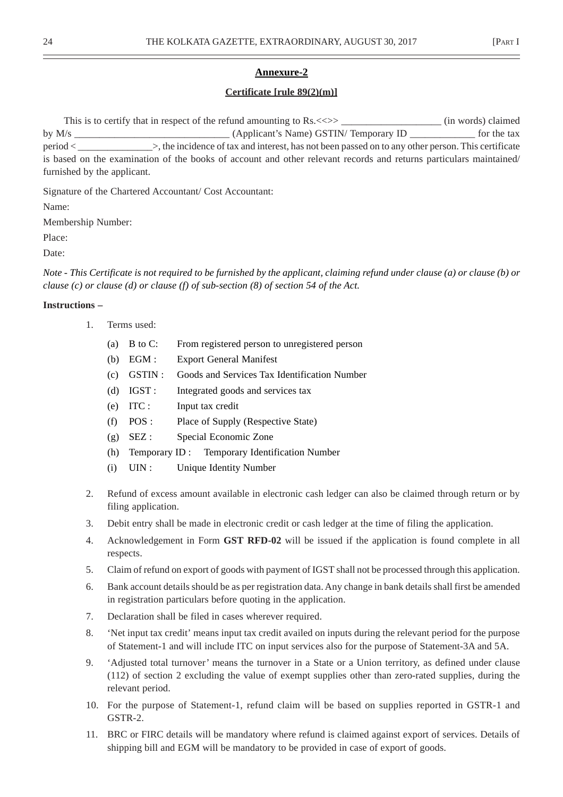#### **Annexure-2**

#### **Certificate [rule 89(2)(m)]**

This is to certify that in respect of the refund amounting to Rs. <<>> \_\_\_\_\_\_\_\_\_\_\_\_\_\_\_\_\_\_\_\_\_\_ (in words) claimed by M/s \_\_\_\_\_\_\_\_\_\_\_\_\_\_\_\_\_\_\_\_\_\_\_\_\_\_\_\_\_\_\_ (Applicant's Name) GSTIN/ Temporary ID \_\_\_\_\_\_\_\_\_\_\_\_\_ for the tax period < \_\_\_\_\_\_\_\_\_\_\_\_\_\_\_>, the incidence of tax and interest, has not been passed on to any other person. This certificate is based on the examination of the books of account and other relevant records and returns particulars maintained/ furnished by the applicant.

Signature of the Chartered Accountant/ Cost Accountant:

Name:

Membership Number:

Place:

Date:

*Note - This Certificate is not required to be furnished by the applicant, claiming refund under clause (a) or clause (b) or clause (c) or clause (d) or clause (f) of sub-section (8) of section 54 of the Act.*

#### **Instructions –**

- 1. Terms used:
	- (a) B to C: From registered person to unregistered person
	- (b) EGM : Export General Manifest
	- (c) GSTIN : Goods and Services Tax Identification Number
	- (d) IGST : Integrated goods and services tax
	- (e) ITC : Input tax credit
	- (f) POS : Place of Supply (Respective State)
	- (g) SEZ : Special Economic Zone
	- (h) Temporary ID : Temporary Identification Number
	- (i) UIN : Unique Identity Number
- 2. Refund of excess amount available in electronic cash ledger can also be claimed through return or by filing application.
- 3. Debit entry shall be made in electronic credit or cash ledger at the time of filing the application.
- 4. Acknowledgement in Form **GST RFD-02** will be issued if the application is found complete in all respects.
- 5. Claim of refund on export of goods with payment of IGST shall not be processed through this application.
- 6. Bank account details should be as per registration data. Any change in bank details shall first be amended in registration particulars before quoting in the application.
- 7. Declaration shall be filed in cases wherever required.
- 8. 'Net input tax credit' means input tax credit availed on inputs during the relevant period for the purpose of Statement-1 and will include ITC on input services also for the purpose of Statement-3A and 5A.
- 9. 'Adjusted total turnover' means the turnover in a State or a Union territory, as defined under clause (112) of section 2 excluding the value of exempt supplies other than zero-rated supplies, during the relevant period.
- 10. For the purpose of Statement-1, refund claim will be based on supplies reported in GSTR-1 and GSTR-2.
- 11. BRC or FIRC details will be mandatory where refund is claimed against export of services. Details of shipping bill and EGM will be mandatory to be provided in case of export of goods.